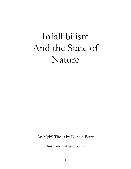# Infallibilism And the State of Nature

An Mphil Thesis by Donald Berry

University College London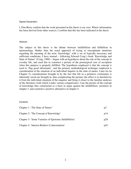#### Signed Declaration

I, Don Berry confirm that the work presented in this thesis is my own. Where information has been derived from other sources, I confirm that this has been indicated in the thesis.

#### **Abstract**

The subject of this thesis is the debate between infallibilism and fallibilism in epistemology. Rather than the usual approach of trying to enscaplutate intuitions regarding the meaning of the term 'knowledge' with a set of logically necessary and sufficient conditions, I have instead – following Edward Craig's book 'Knowledge and State of Nature' (Craig, 1990) – begun with an hypothesis about the role of the concept in everday life, and used this to construct a picture of the prototypical case of ascription when this purpose is properly fulfilled. The hypothesis employed is that the concept is used to 'flag good informants', and the primary methodological technique employed is consideration of the situation of an individual inquirer in the state of nature. Later on (in Chapter 2), considerations brought in by the fact that life in a primitive community is inherently social are brought in, thus complicating the picture; the effect is to derelativize it from the individual situation of the enquirer and bring it closer to the familiar analyses of the literature (with which I make various comparisons). I use the picture of the concept of knowledge thus constructed as a basis to argue against the infallibilists' positions in chapter 3, and construct a positive alternative in chapter 4.

#### **Contents**

| Chapter 1: 'The State of Nature'                       | p3  |
|--------------------------------------------------------|-----|
| Chapter 2: 'The Concept of Knowledge'                  | p14 |
| Chapter 3: 'Some Varieties of Epistemic Infallibilism' | p28 |
| Chapter 4: 'Interest-Relative Contextualism'           | p42 |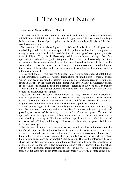### 1. The State of Nature

#### 1.1 Introduction: Nature and Purpose of Project

This thesis will aim to contribute to a debate in Epistemology, namely that between fallibilism and infallibilism. In this thesis I will argue that infallibilism about knowledge is false – that is, knowledge ascriptions can be made correctly whilst the infallibilist's conditions are not met.

 The structure of the thesis will proceed as follows. In this chapter, I will propose a methodology under which we can approach the problem, and various other problems along the way: this is, with a few modifications, the strategy of 'conceptual synthesis' found in Edward Craig's book 'Knowledge and the state of nature' (Craig, 1990). This approach proceeds by first hypothesizing a role for the *concept* of knowledge, and then investigating the features we should expect a concept suited to this role to have. In the second chapter I will begin carrying out this investigation, arriving at a broad outline of the concept of knowledge, and then categorizing it according to distinctions such as internalist/externalist.

In the third chapter I will use the Craigean framework to argue against infallibilism about knowledge. There are various formulations of infallibilism I shall consider; Unger's non-accidentalism, the exclusion principle, the 'conclusive reasons' formulation found in Dretske. In the fourth and final chapter I will explore how the Craigean position fits in with recent developments in the literature – referring to the work of Jason Stanley – which claim that facts about practical rationality must be incorporated into the truth conditions of knowledge ascriptions.

 My thesis may thus be seen as complimentary to Craig's project: I aim to extend his ideas to a particular problem that he discusses in his book only briefly – that of whether or not knowers must be in some sense infallible – and further develop his position by forging a connection between his work and subsequently published literature.

 In the opening pages of his book 'Knowledge and the state of nature', Edward Craig describes the most commonly addressed problem in modern epistemology – that of providing an analysis of the meaning of the term 'know' and its cognates. The standard approach in attempting to answer it is to try to characterise the term's extension, as ascertained by exploring our 'intuitions', with an explicit intention couched in terms of necessary and sufficient conditions (p1). However, he claims that this project is deficient in at least two respects.

 The first respect in which it is deficient is that we not only have intuitions about the term's extension, but also intuitions that relate more directly to its intension: hence in a given case, we might not only feel that a subject is or is not in possession of knowledge, but also have an idea of *why* it does or does not qualify (because the subject came about their beliefs by accident, for example). Craig goes on; 'The sceptic notoriously tries to show that the two do not mesh: our intuitions about the intension, the conditions of application of the concept, in fact determine a much smaller extension than that which our directly extensional intuitions mark out' (p1). If the two sets of intuitions disagree then it is not clear how to progress, and philosophers will swiftly become divided into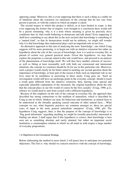opposing camps. Moreover, this is even supposing that there is such a thing as a stable set of intuitions about the extension (or intension) of the concept that do not vary from person to person, or with the context in which an umpire is asked.

 The second respect in which this project is deficit, or at least limited in scope, is that even supposing the former line of enquiry were brought to a conclusion there would still be a puzzle remaining: why is it a term whose meaning is given by precisely *these* conditions that we find worth bothering to demarcate and talk about? Even supposing (I shall have something to say about this in the next section) that knowledge is something of a 'natural kind', so that its demarcation would not be arbitrary, we might still wonder why it is that knowledge thus understood plays such an important role in our lives.

 An alternative approach to this aim of analysing the term 'knowledge', one which Craig suggests will be more promising, is to begin not with an intuitive extension but rather an hypothesis about the role of the *concept* of knowledge: how it is used in everyday life, in pursuit of certain very general practical needs. Given this hypothesis, we may then explore the properties a concept suited to this role would have, and proceed to an analysis of the phenomenon of knowledge itself. We will thus have another criterion of success: as well as fitting at least reasonably well with both our extensional and intensional intuitions, the concept we construct should be fit for use in this particular role. Moreover, such a project would clearly be far better suited to tackling our second question about the importance of knowledge: at least part of the reason it finds such an important role in our lives must be its usefulness in answering to these needs. Craig goes on: 'Such an investigation would still have an anchorage point in the everyday concept: should it reach a result quite different from the intuitive extension, then, barring some special and especially plausible explanation of the mismatch, the original hypothesis about the role that the concept plays in our life would of course be the first casualty' (Craig, 1990, p.2), whence we would need to start from scratch with a different hypothesis.

 Because of this emphasis on the role of the concept in everyday life, the approach thus described has strong connections to the tradition of naturalism, which is described by Craig as one in which 'thinkers see man, his behaviour and institutions, as natural facts to be understood as the (broadly speaking causal) outcome of other natural facts… What concepts we use, what linguistic practices are common amongst us, these are special cases of input to the more general naturalistic enterprise' (Craig, 1990, p9). The hypothesis Craig suggests, then, is that the purpose of the concept of knowledge is to 'flag good informants' regarding anything we might be (usually practically) interested in finding out about. I shall argue that if this hypothesis is correct, then knowledge is best seen not as something absolute and rarely attained, but rather an important social institution; a commonplace relation to which we all stand in with respect a large number of everyday propositions.

#### 1.2 Objections to the Conceptual Strategy

Before elaborating the method in more detail, I will pause here to anticipate two potential objections. The first is: why should we concern ourselves with the concept of knowledge,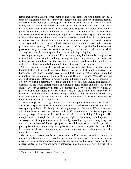rather than investigating the phenomena of knowledge itself? As Craig points out  $(p3)^1$ , there are situations where the conceptual strategy will not yield any interesting results: for instance, the point of the concept of water is to enable us to talk and think about water, and no amount of analysis of the role of this concept will allow us to learn anything new about water itself. In response, Craig suggests that 'Knowledge is not a given phenomenon, but something that we delineate by operating with a concept which we create in answer to certain needs, or in pursuit of certain ideals' (p3). Thus the limits of knowledge do not mark the transition from one objectively distinct kind of phenomena to another, but are rather drawn in place in response to certain practical needs: in other words, knowledge is not a 'natural kind', and it is the concept and associated conceptual practises that are primary. Hence in order to understand the properties that knowers must possess and why, we must look to the forces that govern our conceptual practices (which we may take to be the actual application of the term in day to day life).

 How might we argue for this claim? Rather than arguing for it directly, Craig instead claims that the 'proof is in the pudding': he suggests proceeding with his experiment, and resting his case upon the explanatory power of the analysis that he develops, and the light it sheds on debates within the literature that had otherwise seemed stalled.

 Although pursuit of this idea would take us two far afield, there is another line of thought that might be worth following. Later I shall argue that belief is necessary for knowledge, and many thinkers have claimed that belief is not a natural kind. For example, in the intentional psychology of Daniel C. Dennett (Dennett, 1989, p15) we find an 'instrumentalist' attitude towards belief: although beliefs do corresponding to objectively existing patterns, we should not expect to find individually distinguishable elements in the brain corresponding to distinct beliefs; beliefs and other intentional entities are seen as primarily theoretical constructs that derive from concepts which are projected onto individuals in order to make sense of and predict their behaviour (we adopt the 'intentional stance' towards them). If beliefs do not constitute a natural kind, and knowledge is intimately connected to belief, then it becomes plausible to suggest that knowledge is not a natural kind either.

 A second objection to Craig's proposal is that some philosophers may have concerns about the prospective value of this endeavour: why should we be interested in everyday conceptual practise at all? 'Surely', a critic might respond, 'there is a difference between what knowledge is, and what people *say* it is. If our only aim is to describe popular, everyday usage of the term, then we have ceased to even be doing Philosophy.' The thought is that although this kind of project might be interesting to a linguist or a sociologist, a philosophical analysis of knowledge should go beyond everyday usage and aim at an analysis of knowledge proper. As Philosophers we should provide a prescriptive rather than a merely descriptive account, because our particular set of skills leave us better placed to determine its nature and proper application than members of the population at large.

 My response to this concern (which again draws on Craig's ideas) is twofold. Firstly, we are not merely aiming at a description of certain linguistic facts, but also seeking to clarify certain aspects of conceptual practice: we can analyse the *proper* deployment of a concept suited to the role we have hypothesized, not the *de facto* way in which it is

 $1$  Where not specified, references are to Craig, 1990.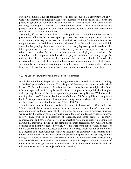currently deployed. Thus the prescriptive element is introduced at a different place. If we were only interested in linguistic usage, the question would be trivial: it is clear that people in general do not make the demands the infallibilist insists they should when ascribing knowledge. As we shall see, there are three levels of analysis by which we can proceed, and this objection is only really appropriate to one of them (the 'descriptive framework' – see section 1.4 below).

 Secondly, if, as we have claimed, knowledge is not a natural kind but rather a phenomena delineated by our conceptual practises, then constructing a concept suitable for a particular role may be the best kind of analysis we can hope for. It might be true that the purpose we now need the concept for is different from the one in relation to which it arose, but by grasping the connection between the everyday concept as it stands and its initial purpose we are better placed to make any adjustments that might be necessary to tailor it to be suitable for our current concerns (such as deployment in science, for example). I will not pursue this last kind of project, but there is certainly scope for utilising the ideas presented in this thesis in this direction, should the reader be dissatisfied with the goal I have aimed at here: namely a description of the actual concept we currently have, elucidation of the pressures that caused it to develop in this particular form, and a description and explanation of how we operate with it in everyday life.

#### 1.3. The State of Nature; Informants and Sources of Information

In this thesis I will thus be pursuing what might be called a genealogical method: looking at the development of the concept of knowledge and the everyday conditions under which it arose. To this end, a useful tool in the naturalist's arsenal is what we might call a 'state of nature' approach, which may be familiar from its employment in political philosophy, and is perhaps best described in an epistemological context by Bernard Williams in the opening chapters of 'Truth and Truthfulness' (Williams, 2002), or by Edward Craig in his book. This approach aims to develop what Craig has elsewhere called a 'practical explication of the concept of knowledge' (Craig, 1986/7).

In order to account for the universality of the concept of knowledge – Craig notes that 'There seems to be no known language in which sentences using 'know' do not find a comfortable and colloquial equivalent' – we begin with imagining a primitive situation: we consider the needs of some individuals living together in a (possibly quite primitive) society. They will be in possession of language, and some degree of cognitive sophistication, and have some interest in cooperating with one-another. One should not assume that individuals living in such primitive societies necessarily have what we might consider to be primitive needs; however, we shall start from consideration of needs of quite a general and basic kind, needs that inevitably emerge whenever human individuals live together in a society, and hence may be thought of as uncontroversial features of the human condition. If we find the explanatory power this approach to be lacking, we may then go on to consider needs of a more sophisticated kind. Given these basic needs, then, and some degree of reflective intelligence, we should expect that the concept of knowledge will emerge because of its usefulness in fulfilling them (the exact details of this 'emergence' will be the subject of the next section).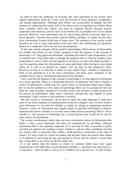In order to meet the challenges of everyday life, each individual in our society must acquire information about the world, such the location of food, predators, competitors, and mating opportunities. Although false beliefs can occasionally be helpful, the best strategy for achieving their goals will be for them to aim at acquiring true beliefs about these variables. Such true beliefs can often be acquired directly through sensory experience and inference, and for most of our beliefs this is probably how we do indeed proceed. However, some individuals may be much better placed to provide input on a given question – because they possess special abilities, perhaps, or simply because they were conveniently located at the time of some event. The members of our society would therefore do well to share information with each other, thus distributing the epistemic burden in a cooperative drive for survival and prosperity.

 To this end, certain concepts will be useful in determining which sources of information are reliable and which are not. Craig's proposal is that the purpose of the concept of knowledge is to 'flag approved informants' regarding the truth of some proposition *p*. On a technical note, Craig often talks as though our inquirer seeks to find out whether some proposition *p* is true or false, but the inquirer is not always in such a privileged position: I may be enquiring about the whereabouts of some individual whilst having no idea about where he is, and so in general my enquiry will not take on this disjunctive form. However, as long as we bear this in mind, we may adopt Craig's 'whether *p*' disjunctive form of the question as it is far more convenient, and bears more similarity to the standard 'knows that *p*' construction discussed in the literature.

 I have said that the purpose of the concept of knowledge is to flag approved informants on a given question. There is a distinction between an informant and what is merely a source of information: a book may be a good source of information about many things, but we do not attribute to it the status of knowledge. How can we account for this fact from the 'state of nature' perspective? In other words, why not have a single locution for all sources of information, rather than a narrower concept that only applies to good informants? Craig's answer to this question is twofold.

 The first reason is convenience: given that we speak the same language (I shall have more to say about channels of communication in the next chapter), once we have found a good informant we can find out whether *p* simply by asking an appropriate question, whereas a source of information may require expert or specialist knowledge to analyse. Someone who knows whether *p* is in some sense (other factors concurring) able to 'tell us whether  $p'$ : the concept of knowledge has a social function that would not be met by mere sources of information.

 The second consideration, which rules out more convenient sources of information like books, is that a good informant will often act cooperatively by providing collateral information that is not explicitly requested: he or she may be able to ascertain or partly ascertain our purpose for wanting to know whether  $p$ , and are often empathetic towards our enquiry (this is especially true within a small primitive community in the state of nature). If I stop a man on a street in London and ask him where the nearest tube station is, in addition to answering he may also decide to tell me that the station is closed that day, or that there is no service on the Piccadilly line.

 It is not merely that the entities to which we attribute belief must have agent characteristics, but rather that a good informant whether  $p$  – and hence one who knows  $p$ , *ex hypothesi* – must be able to convey to us whether  $p$  in a special way. To take Craig's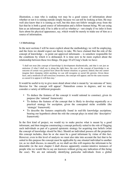illustration, a man who is soaking wet may be a good source of information about whether or not it is raining outside simply because we can tell by looking at him. He may well also know that it is raining as well, but this does not follow straight away from the fact that he is both a good source of information and a fellow human being. We are using him as an informant only if he is able to *tell* us whether *p* – not simply if we infer it from facts about his physical appearance, say, which would be merely to make use of him as a source of information.

#### 1.4 Methodology

In the next sections I will be more explicit about the methodology we will be employing, and the form we should expect our theory to take. We have claimed that the role of the concept of knowledge – to point out approved informants – is somehow responsible for the conditions by which it is delineated. It is time now to be more explicit about the relationship between these two things. On page 10 of Craig's book we have:

'I shall not treat [the concept of knowledge's] development diachronically, and that is not just an omission: if what I shall say is along the right lines, the core of the concept of knowledge is an outcome of certain very general facts about the human situation; so general, indeed, that one cannot imagine their changing whilst anything we can still recognise as social life persists. Given those facts, and a modicum of self-conscious awareness, the concept will appear; and for the same reasons as caused it to appear it will then stay.'

It would be useful to try to give more detail about what is meant by 'an outcome of' here; likewise for 'the concept will appear'. Naturalism comes in degrees, and we may consider a variety of different proposals:

- To deduce the features of the concept it would rational to construct, given its purpose (the 'rational' framework)
- To deduce the features of the concept that is likely to develop organically as a practical strategy for ascription, given the conceptual niche available (the 'strategic' framework)
- To describe the features empirically found in real-life knowledge ascriptions, bearing our hypothesis about the role the concept plays in mind (the 'descriptive' framework)

In the first kind of project, we would try to make precise what is meant by a good informant, and then imagine constructing a concept perfectly suited to the role of flagging such individuals as part of a general epistemic strategy for acquiring true beliefs (what the concept of knowledge *should* be like). Should an individual possess all the properties this concept includes, then he or she must be a good informant by virtue of this fact. However, even in this level of analysis we must also take into account the fact that to be suited to this purpose the concept must be applicable by one situated individual to another (or, as we shall discuss, to oneself), as we shall see this will requires the informant to be detectable (in the next chapter I shall discuss apparently counter-intuitive instances of people who we would like to say are knowers without giving any indication of this being the case). We are not rationally identifying particular individuals from a global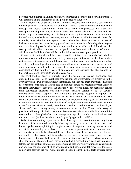perspective, but rather imagining rationally constructing a concept for a certain purpose (I will elaborate on the importance of this point in section 1.6, below).

 In the second kind of project, which is in many respects very similar, we consider the kinds of practical advantages we can gain from finding a good informant, and deduce the concept that would best help us to maximise them. The processes that cause this conceptual development may include evolution by natural selection: we have said that belief is a part of knowledge, and it is likely that biology has something to say about our belief-forming mechanisms. However, we are not limited to this framework alone; for example, those who find conceptual schema which lead them to material success of influence may use the power thereby gained to coerce others into following their usage – none of this resting on the idea that concepts are innate. At this level of description, the concept will (ideally) be the outcome of predictions from various branches of science, which deal with all the real-world forces that influence our conceptual practices.

 Whereas at the rational level the concept would be tailored to ensure the individual in question was labelled a knower only if they were a good informant, at this level such a restriction is not in place: we want the concept to capture good informants *in general*, but it is likely to be strategically advantageous to allow some individuals who are in fact *not* good informants to fall under the scope of the concept in exchange for satisfaction of considerations like simplicity, ease of applicability, and ensuring that the majority of those who are good informants are labelled as such.

 The third kind of analysis embarks upon the sociological project mentioned and criticized in section 1.2: to investigate how the concept of knowledge is employed in the everyday world. Two options suggest themselves, but each has their drawbacks. The first is to perform some kind of Gallup pole to catalogue intuitions regarding proper usage of the term 'knowledge'. However, the answers we receive will likely not accurately reflect their conceptual practises, but rather some idealized version of it (as Lewis's contextualism nicely captures, the conditions governing people's ascriptions of knowledge often become more stringent at the mere *mention* of Cartesian demons). The second would be an analysis of large samples of recorded dialogue (spoken and written) to see how the term is used: but this kind of analysis cannot easily distinguish genuine usage from that which is merely metaphorical ascription and not to be taken literally, or 'loose use'; that is to say merely a convenient approximation. These methodological problems will not particularly concern us, however: our advances in this direction will be restricted to a few platitudes about everyday usage that should prove intuitive and uncontroversial (such as that the term is frequently applied in real life).

 Rather than committing to just one of these three styles of account, then, we may try to bear each of them in mind, carefully balancing our analysis of the core of the concept of knowledge between explaining the empirical facts of usage and deducing how we should expect them to develop or be chosen, given the various pressures to which humans living in a society are inevitably subjected. Clearly the sociological facts of usage are after not enough to go by; given that knowledge is factive it is an uncontroversial fact that knowledge is often ascribed incorrectly (some writers, such as Unger, whose views we shall consider in chapter 3 below, have claimed that almost all knowledge ascriptions are false). But conceptual schemas are not something that are wholly rationally constructed; nor are they the outcome of blind evolutionary and developmental processes, but more somewhere between the two. As mentioned in section 1, if the actual facts of usage differ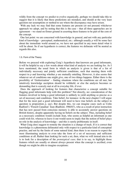wildly from the concept we predict to evolve organically, perhaps we should take this to suggest that it is likely that these predictions are mistaken, and should at the very least question our assumptions or method to see where the discrepancy may have arisen.

 With any luck we may find that some features are present (or not present) whichever approach we adopt, and by noting that this is the case – that all three approaches are in agreement – we stand on firmer ground in asserting these features to be part of the core of the concept.

 One last point: we are concerned with knowledge in general, and not with any particular kind of knowledge – perceptual, mathematical, etc.: although usually *p* will be some fact about the immediate world around us, we have not specified in any more detail what it will be about. So if our hypothesis is correct, the features we delineate will be neutral as regards this also.

#### 1.5. Form of the Theory

Before we proceed with exploring Craig's hypothesis that knowers are good informants, it will be helpful to say a few words about what kind of analysis we are looking for. As I have mentioned, the usual form in which an analysis is given is that of a list of individually necessary and jointly sufficient conditions, such that meeting them with respect to *p* and knowing whether *p* are mutually entailing. However, it also seems that whatever set of conditions one might give, one of two things happens. Either there is the possibility of 'Gettierization' – finding situations where the conditions are all met, but intuitively knowledge ascription should be withheld; or else the analysis becomes so demanding that is scarcely met at all in everyday life, if ever.

 Does the approach of looking for features that characterize a concept suitable for flagging good informants help with this problem? Not directly, no: consideration of the features involved in being a good informant is unlikely to yield anything so precise as a set of necessary and conditions. Take belief, for instance: in the next chapter I will argue that for the most part a good informant will need to have true beliefs on the subject in question (a proposition  $p$ , say). But despite this, we can imagine cases such as Colin Radford's 'French Canadian' Jean (Radford, 1966/67), who as a result of prior instruction that has now passed from conscious memory is able to accurately answer questions on British history, despite apparently having no beliefs on the subject. Thus, including belief as a necessary condition would exclude Jean, who seems as helpful an informant as one could wish for, whereas to leave it out would seem to imply that the notion of belief plays no role in the analysis of knowledge – and this is surely problematic in itself.

 What Craig does suggest to remedy the situation is a change of track. If it is correct that knowledge is a phenomena delineated only with respect to a particular kind of conceptual practise, and not by the limits of some natural kind, then there is no reason to expect the most illuminating analysis to even take the form of a set of necessary and sufficient conditions at all. Rather than looking for such a set, then, what we will instead aim to do is to look for a description of the *prototypical case*; that is to say, to highlight those features which are usually or almost always present when the concept is ascribed, even though we might be able to imagine exceptions: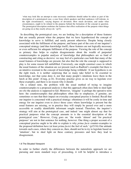'what may look like an attempt to state necessary conditions should rather be taken as part of the description of a prototypical case, a case from which speakers and their audiences will tolerate, in the right circumstances, varying degrees of deviation. How much deviation, and under what circumstances, ought to be related to the purpose behind the formation of the concept in question. The prototypical description enshrines the features that effect realisation of the purpose when things are going on as they nearly always do.' (p15).

 In describing the prototypical case, we are looking for a description of those features that are usually present when the purpose that we have hypothesized the concept of knowledge to serve is fulfilled, and rarely present otherwise. Despite being closely associated with the fulfilment of the purpose, and hence part of the core of our inquirer's conceptual strategy (and thus knowledge itself), these features are not logically necessary or even sufficient for adequate fulfilment of the purpose. Viewing the role of the concept as primary thus helps to explain disagreements about the wealth of purported counterexamples to popular analyses of knowledge that philosophers are so fond of constructing and citing as decisive: we may feel of a particular case both that many of the usual features of knowledge are present, but also that the role the concept is supposed to play is for some reason left unfulfilled. Conversely, one might construct cases in which the usual features of the situation are *not* present (such as Radford's example) but there is an intuitive resistant to the concept of knowledge being withheld: 'if our hypothesis is on the right track, it is neither surprising that so many take belief to be essential to knowledge, nor that some deny it, nor that many people's intuitions leave them in the lurch at this point' (Craig, p.14). Everyday practise gives us no way to legislate over these examples, and there is no reason why it should.

 On a related note, the problem with the usual method of trying to imagine counterexamples to a proposed analysis is that this approach often does little to shed light on *why* the analysis is supposed to fail. Moreover, 'imagine' is perhaps the operative term here: the counterexamples that philosophers often like to emphasize, if genuine, are sometimes so rare that their impact on everyday conceptual practise is limited. Recall that our inquirer is concerned with a practical strategy: oftentimes it will be costly in time and energy for our inquirer even to *detect* those cases where knowledge is present but the usual features are missing, so in practice they will simply be passed over and a more accessible or readily identifiable informant sought instead. Therefore, the inquirer's strategy will aim at the prototypical case, and indeed 'one might almost say that for practical purposes what the concept amounts to is the essential description of the prototypical case.' However, Craig goes on: 'the words 'almost' and 'for practical purposes' are not in that sentence for nothing, however. One thing a proper account of a conceptual practise ought to be able to explain is why *prima facie* counter-examples to the proposed definition have (at least *prima facie*) the feel of such.' (p15/16) Our attitude towards such cases, where they concern us, then, should not be to try to legislate based on 'intuition', but to shed light on these contrary pressures and how they lead to disagreement.

#### 1.6 The Situated Viewpoint

In order to further clarify the differences between the naturalistic approach we are pursuing and more standard ways of proceeding, it will be helpful to introduce a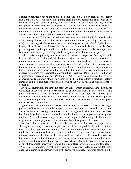distinction between what might be called 'global' and 'situated' perspectives (c.f. Pfeifer and Bongard, 2007). An analysis beginning from a global perspective starts with all of the facts of a given (often imaginary) situation to hand, and goes about deciding whether ascriptions of knowledge are appropriate to a given individual. These facts generally include the truth as to whether  $p$ , the individual's relationship to this fact, and various other details about his or her epistemic state and embedding in the world – even if these are not accessible to any individual present in the scenario.

 In contrast, when taking the situated view, we imagine a real individual situated in the world, having limited information about his or her environment (including as to the truth of *p*), and deciding whether or not to ascribe knowledge to another individual, despite not having all the facts to hand about their beliefs, intentions and history; or on the firstperson approach (although I shall argue in the next chapter that the third-person approach is in some sense primary), deciding whether they themselves know whether *p*.

 In this thesis I am pursuing an analysis from the situated perspective. Our inquirer will be embedded in the real world, which entails certain restrictions: acquiring information requires time and energy, sensory equipment is subject to disturbances, there is constant subjection to time pressures (things happen even if they do nothing); they interact with the environment, and these actions (including the overt application of concepts) change this environment in various ways. Further to this, the situated approach implies an active concern with one's own practical interests: unlike Descartes' 'Pure inquirer' – to borrow a phrase from Bernard Williams (Williams, 1978) – the situated inquirer begins with epistemic needs (amongst others) he wishes to fulfil. He then adopts a practical strategy aimed at doing so, and part of this strategy will be the way in which he uses and applies concepts.

 Given this framework, the strategic approach asks: 'which conceptual strategies might we expect to develop (by whatever means) to enable individuals in our society to flag good informants?' – and the rational approach asks 'if our goal was to flag good informants, which conditions would deliberation on this aim lead us to insist were present for conceptual application?' And of course, the descriptive framework always takes place under real-world conditions.

 Again, it will be worthwhile to pause here in order to address a concern that might present itself when we take this perspective; one analogous to that which was raised about the value of pursuing a naturalistic approach in general: why should we care about how knowledge looks from the situated viewpoint, instead of raising ourselves to a global one? Aren't complications brought in by considering an individual's particular situation at ground level mere prejudices, to be overcome by philosophical reflection?

 The first point to make here is that it is the situated view that has been important in shaping the everyday conceptual application, and I have argued for the value of taking this conceptual application as primary. So if we are pursuing this naturalistic approach (and I have argued above that there is benefit in doing so) then this is the position that an effective enquiry at this level will have to work with. Moreover, the considerations that the situated viewpoint lead to cannot but bear influence on our intuitions about the proper application of the concept of knowledge – even when we try to divorce ourselves from it in our philosophical endeavours (for one thing, its influence will permeate our language).

 A second consideration is that in any case our conceptual strategies do not fall apart once the inquirer gains a firmer grasp of the facts. For instance, oftentimes after using the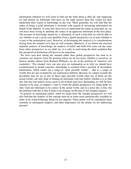information obtained we will come to find out the truth about *p* after all, and supposing we had picked an informant who gave us the right answer then this would not then undermine their claims to knowledge in any way. More generally, we will find that the status of being a good informant is invariant with regards to increasing information on behalf of the inquirer: if some new facts serve to undermine his status as such later on, we will have been wrong to attribute the status of an approved informant in the first place. The account of knowledge aimed for is ultimately of such a kind that we will be able to say whether or not a given case qualifies from a global perspective (or at least whether it is part of the prototypical case). However, in developing this analysis it is considerations arising from the situated view that we will consider. Moreover, if we follow the classical tripartite analysis of knowledge, an analysis of belief and truth will come out the same from either perspective; as we shall see, it is only in motivating the third condition that this perspectival distinction will prove to be important.

 We have seen how taking the situated rather than global perspective has lead us to construct our analysis from the position where we do not know whether *p* ourselves: to borrow another phrase from Bernard Williams, we are in the position of 'inquirers, not examiners'. The situated view can also give an explanation as to why we should have counterfactual or modal concerns: knowledge is ascribed from a position of incomplete information, which marks out a range of 'open possible worlds' – that is, a range of worlds that are not excluded by our experiences hitherto. Because we cannot exclude the possibility that we are in any of these open possible worlds (that any of them are the actual world), our only hope of finding an informant with true beliefs whether *p* is to find one who has true beliefs across most or all of them (just how demanding we will be here remains to be seen, in chapters 3 and 4). From the global perspective we might think we only want our informant to be correct in the actual world, and in a sense this is true, but the problem with this is that it leads to no strategy on the part of our situated inquirer.

 In general, as mentioned earlier, when we begin from the situated perspective we will also find that the features of the concept must be in some sense epistemically available in order to be worth bothering about for our inquirer. These points will be considered more carefully in subsequent chapters, and their importance for the debate we are addressing pursued.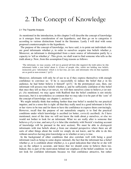### 2. The Concept of Knowledge

#### 2.1 The Tripartite Analysis

As mentioned in the introduction, in this chapter I will describe the concept of knowledge as it emerges from consideration of our hypothesis, and then go on to categorize it according to various distinctions found in the literature. Lastly I will deal with some proposed counterexamples to the hypothesis.

 The purpose of the concept of knowledge, we have said, is to point out individuals who are good informants whether *p*, in order to ourselves acquire true beliefs whether *p*. Moreover, an informant is distinguished from a mere source of information partly by a capacity to 'tell us whether *p*'. This given, we shall want to find someone who tells us the truth about *p*. Now, from this assumption Craig reasons as follows:

'The informant, we may assume, will not in general tell him [the inquirer] the truth unless he (the informant) holds a true belief about it. (Cases of people who, whilst not holding true beliefs, insincerely give 'information' which is in fact true, are rare; and informants who do that regularly are as good as non-existent.)' (p12)

Moreover, informants will only be of use to us if they express themselves with enough confidence to convince us: 'if he is successfully to induce the belief that  $p$  in his audience, he had better believe it himself' (p13).' In the prototypical case, then, our informant will possess true beliefs whether  $p$ , and be sufficiently confident of this belief that once they tell us that  $p$  (or not- $p$ ), we will then ourselves come to believe  $p$  (or not*p*). (As mentioned, we may agree with Radford that the belief condition is not strictly necessary, but it is nevertheless so common that we may take it to be part of the 'core' of the concept of knowledge: see chapter 1, section 6.)

 We might initially think that nothing further than true belief is needed by our practical inquirer, and in a sense this is right: all that they really need in a good informant is for his or her views to be true and for them to have the confidence to express them convincingly. However, recall that the purpose of our naturalistic enquiry is to find the practical conditions under which knowledge is ascribed (or better, *correctly* ascribed). As I have mentioned, most of the time we will not know the truth about *p* ourselves, or else we would not bother to look for an informant. What we are really after is someone that believes *p* if *p* is true, and not-*p* if *p* is false (the similarity with Nozick's tracking account of knowledge will be pursued in the next section). We must be able to *distinguish* informants with true beliefs about *p* from our situated perspective where there are all sorts of other things about the world we simply do not know, and be able to do this without ourselves having prior knowledge as to whether or not *p* is true.

 In the background of other conditions that also correlate well with being a good informant (such as being to some degree rational), the fact that the informant has a belief whether  $p$ , or is confident about whether  $p$ , is a good indication that what he or she will say on the subject is accurate, and hence that we should come to believe them too. Indeed, this is part of the motivation behind our emphasis of the belief condition: we do not look for confident informants because we find confidence attractive, but rather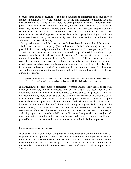because, other things concurring, it is a good indicator of correctness (it is thus only of indirect importance). However, confidence is not the only indicator we use, and not even one we are always willing to trust: there are other properties a potential informant may possess that indicate their having true beliefs (or false beliefs) whether *p*, and some of these may be more reliable. At this point, it seems that any such property will be sufficient for the purposes of the inquirer; call this the 'minimal analysis' – that knowledge is true belief together with some detectable property indicating that this true belief condition is met (whether we really need this 'detectability' constraint will be addressed in section 2.6, below).

 One question that we will be concerned with throughout the remainder of this thesis is whether to express this property (that indicates true beliefs whether *p*) in modal or probabilistic terms (Craig often conflates these two notions; for example, on p86). Are we after an informant that is correct across a certain range of possible worlds – perhaps across all worlds that, for all we know, do not obtain? Or are we after someone who is (either objectively or epistemically) very *likely* to be correct? These two notions do not coincide, but there is at least the semblance of affinity between them: for instance, usually someone who is known to be correct in almost every possible world is also likely to be correct in the actual world. This question will be answered in chapter 4, but for now we shall remain non-committal on this issue and stick to Craig's formulation – that what our inquirer is after is:

'[S]omeone who believes the truth about *p*, and has some detectable property X, possession of which correlates well with being right about  $p$ , that can guide him in his choice of informant.'

In particular, the property must be detectable to persons lacking direct access to the truth about *p.* Moreover, any such property will do, so long as the agent conveys the information with the 'informant' characteristics outlined above: this property X will not be specified in any more detail, as there are as many such properties as things we could want to know about. If we want to know how to get to Piccadilly Circus, the  $-$  quite readily detectable – property of being a London Taxi driver will suffice. Just what is involved in this 'correlating well' clause will occupy us a great deal throughout the thesis: indeed, in a sense this question contains the essence of the debate under consideration. One last point before we move on: the connection between this property X and being right about *p* must be reliable or law-like as well as graspable, and not just a *de facto* connection that holds in this particular instance (otherwise the inquirer would not in general be able to discern that the informant was in fact suitable for his purposes).

#### 2.2 Comparison with other Projects

In chapters 3 and 4 of his book, Craig makes a comparison between the minimal analysis as presented in the previous section, and four other attempts to analyse the concept of knowledge: the Nozick/Dretske counterfactual tracking account, Goldman's causal theory, reliabilism, and the classical 'justified true belief' (JTB) analysis. Although I will not be able to pursue this in as much detail, a few brief remarks will be helpful at this juncture.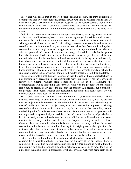The reader will recall that in the Nozickean tracking account, the third condition is decomposed into two subconditions, namely *sensitivity*: that in possible worlds that are close (i.e. worlds very similar in *p-*relevant respects) to the nearest possible world to the actual world in which not–*p* obtains the subject does not believe *p*, and *adherence*: that the subject's beliefs are the same in all close possible worlds where *p* has the same truth value.

 Craig has two comments to make on this approach. Firstly, according to our practical explication as outlined so far, Nozick selects the wrong range of possible worlds: there is no reason for our inquirer to care about worlds he has ruled out as being non-actual. Although we shall see in section 2.6 that things become more complicated when we consider that our inquirer will in general not operate alone but from within a linguistic community, on the simple analysis it appears that all an inquirer should care about is what the potential informant believes across the range of possible worlds that is open to him, the inquirer. Under the strategic framework, an open possible world is best understood as one that has not been excluded as a candidate for being the actual world by that subject's experience; under the rational framework, it is a world that they do not know is not the actual world. Consideration of some such set of worlds will automatically bring the counterfactual property in its train: recall that in general our inquirer will not know whether *p* obtains or not, and hence this set of open possible worlds in which the subject is required to be correct will contain both worlds where *p* is both true and false.

 The second problem with Nozick's account is that the truth of these counterfactuals is not epistemically accessible in the appropriate way: our inquirer has no convenient faculty for judging whether these conditions hold. So at best satisfying the counterfactuals will be something that correlates well with the property we are looking for: it may be present nearly all of the time that the property  $X$  is present, but it cannot be the property itself (again, whether this detectability requirement is really necessary will be considered in more detail in section 2.6 below).

 Next, Craig discusses Goldman's causal theory of *a posteriori* knowledge, which analyses knowledge whether  $p$  as true belief caused by the fact that  $p$ , with the proviso that the subject be able to reconstruct the salient links in the causal chain. There is a good deal of similarity to Nozick's project here, as a causal connection is prone to bringing counterfactual conditions in its train. And again, it appears that according to our methodology this formulation also misses the mark for the same reason: this property will not in general be epistemically accessible to the informant. In order to judge whether a belief is causally connected to the fact that it is a belief in, we will usually need to know that the fact actually obtains; and of course our inquirer is rarely in such a position. Granted, there are cases in which this is not the case: we may believe the causal connection holds because we saw him looking in the right place at the right time, for instance (p14). But in these cases it is some other feature of the informant we use to ascertain that the causal connection holds – here simply that he was looking in the right place – and it is this other, more basic feature that we are really looking for.

 Let us now look at the reliabilist formulation, which analyses knowledge as true belief acquired by a reliable method. It is true that for a nearly all of our beliefs there is something like a method behind their acquisition, and if this method is reliable then the subject must be a good informant, given their beliefs are correct. But as far as looking for a property that a subject is in possession of which correlates well with being right about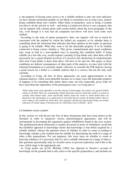*p*, the property of having come across *p* by a reliable method is only one such indicator; we have already mentioned another we are likely to sometimes use in some cases, namely being confident about one's beliefs. Other kinds of properties, such as being a London taxi-driver, do the job just as well – and being a London taxi-driver is not a property that can be equated with coming about with certain beliefs about the local geography of the city, even though it is true that all competent taxi-driver will have used some such method.

 According to the state of nature perspective, then, our inquirer will not so much be concerned with the method by which the beliefs are acquired, as by whether there is something about the informant that indicates that their opinion on the matter in question is going to be reliable. What they want is for the detectable property  $X$  to be reliably connected to being correct whether *p*. This given, counterfactual and causal conditions may creep in (but in a non-standard way) in ensuring this condition holds: if being reliable (in a law-like way, recall) requires causality (Craig thinks not), then there will be necessarily be a causal element involved; if it involves the satisfaction of counterfactuals (this time Craig thinks it does) then these will have to be met too. But again, as these conditions are indirect consequences of other parts of the analysis, we may stick with the minimal formulation as it currently stands. Likewise, to consider the JTB analysis, having a good reason for a belief is a reliable indictor that it is correct, but not the only such correlate.

 According to Craig, all four of these approaches are good approximations to the minimal analysis, which seem plausible because in so many cases the detectable property X happens to be something that makes them come out true (especially given what we have said about the importance of the prototypical case). As Craig puts it:

'What makes them seem plausible is not the concept of knowledge, but certain very general beliefs which we all hold. These are, in particular, beliefs about the extent to which the world is a system of causally inter-related states, more specifically beliefs about the extent to which belief-states are themselves the end-product of a causal process; the belief that for nearly all human beliefs, there is such a thing as the method by which they were acquired; and the fact that human beings are usually conscious of certain stages of the processes by which they arrive at beliefs.' (p34)

#### 2.3 Globalism versus Localism

In this section we will discuss the first of three distinctions that have been drawn in the literature in order to categorize various epistemological approaches, and will be instrumental in developing the arguments against infallibilism found in the next section. The globalism/localism distinction is usually discussed in terms of reliabilism: recall that the reliabilist approach to knowledge claims that knowledge is true belief acquired by a reliable method, whence the question arises of whether in order to count as leading to knowledge whether *p* the method must be reliable for determining the truth of a range of other *p*-like propositions. For our purposes, this issue turns on whether to count as knowing whether *p* it is necessary that S is also a reliable informant on a range of other *p*like questions (presumably only in a localist sense, to prevent explosion), and if this is the case, which range is the appropriate one.

 As Craig points out (p.54), McGinn (1984) has objected to Nozick's account of knowledge on the grounds that it only refers to the specific proposition *p*, and includes no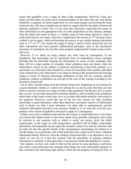clause that quantifies over a range of other *p*-like propositions. However, Craig also points out that there are *prima facie* counterexamples to the claim that any such global reliability is required: an infant might know its own name despite not knowing the name of anyone else. The later example may be taken to suggest that the descriptive framework indicates globalism is false: but it is not clear that statements expressing the names of other individuals are the appropriate class of *p*-like propositions in this instance; perhaps what the infant also needs to know is a further range of facts about *himself* to count as really knowing her own name. Likewise, I might know the answer to  $17<sup>20</sup>$  because I have worked it out on paper, whilst not knowing the answer to any similar-looking calculation such as  $17^{19}$  or  $17^{21}$ ; but maybe the range of things I need to know about here are not other calculations but more general mathematical principles, such as the mechanical procedure of calculation, the fact that when properly implemented it leads to true results, and so on.

 However, if we admit (as many authors do) what must be consequence of our hypothesis, that knowledge can be transferred from an authoritative source (perhaps insisting that the individual learning the information be aware of their standing), then there will be a large number of examples where globalism does not obtain; when the authoritative source on the subject (a professor specialising in that field, perhaps, or a quizmaster on a television show backed by a team of researchers) tells another individual some isolated fact *p* for which there is no range of related *p*-like propositions the learning subject is aware of. Because knowledge attributions of this sort are common, specific conditions relating to globalism are not part of the core of the concept according to the descriptive framework.

 Let us, then, consider things from the rational framework. Supposing we are looking for a good informant whether *p*: would it be rational for us also to insist that they are also likely to answer correctly on a range of other *p*-like questions? On the face of it, it seems they are not: we are only interested in learning whether  $p$ , and to include extra conditions about other *p*-like issues would only serve to exclude individuals perfectly well-suited to our purposes. However, recall that one of the two key reasons for only ascribing knowledge to good informants rather than otherwise convenient sources of information such as books was that a good informant was often able to spontaneously provide collateral information relevant to our concerns whether *p*: if we want this to be the case, perhaps some version of globalism will need to apply as a consequence.

 If there were such a condition motivated for this reason, it would either have to be either very broad (the subject needs to also know about every possible contingency that could be relevant to our concerns with  $p$ ; which is surely too strong, given the belief requirement), or the range of *p*-like propositions specified will be highly contextually determined, and dependent not just upon the semantic content of *p* and our concerns with its truth, but also the specific details of the circumstances surrounding our relation to it (all the things we in particular, and at that particular time, might need to know collateral information about). However, from the strategic framework there is an alternative way in which we can see to it that this concern with the possibility of gaining collateral information is satisfied, so that again there is no reason to think that globalism is correct.

Our inquirer, we have said, seeks to find out the answer to some question  $p$ , and hence also seeks a good informant that amongst other things has some (detectable) property X that correlates well with being right about  $p$ , which has the property of being law-like, in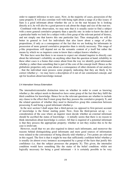order to support inference to new cases. Now, in the majority of cases, possession of the same property X will also correlate well with being right about a range of *p*-like issues: if Sam is a good informant about whether the cat is on the mat because he is looking directly at it, he will also be a good person to ask about the shape and size of the mat too.

 Combined with this observation, we may note that it is usually easier to find a subject with a more general correlative property than a specific one: in order to know the date of a particular battle we look for a subject with a firm grasp of the relevant period of history, and not simply one that knows this one particular fact. Thus strategically we will do better in general to *look* for individuals that also know about a range of *p*-like propositions, if only as a consequence of the fact that we are looking for informants in possession of more general correlative properties than is strictly necessary. This range of *p*-like propositions will depend not on the semantic content of *p* itself but rather the means by which we as inquirers come to know that a subject knows whether *p*.

 We thus have seen that there is no reason to expect our situated inquirer to directly care about the informant's reliability on anything other than the question at hand; reliability in these other cases is a bonus that comes about from the way we identify good informants whether  $p$ , rather than something that is part of the core of the concept itself. Hence as the globalistic properties only come about as a consequence of other elements of our analysis – that the individual must possess some property indicating that they are likely to be correct whether  $p -$  we may leave a description of it out of our constructed concept, and opt for localism about knowledge instead.

#### 2.4 Internalism Versus Externalism

The internalist/externalist distinction turns on whether in order to count as knowing whether  $p$ , the subject needs to themselves have some grasp of the fact that they fulfil the third condition for knowledge. Hence for us the relevant questions are whether to include any clause to the effect that S must grasp that they possess the correlative property X, and the related question of whether they need to themselves grasp this connection between possessing X and being a good informant whether *p*.

 In the next section I shall argue that a third-person (as opposed to first-person) account of knowledge is the firmer starting point. Now, from the third-person set-up  $-$  i.e. consideration of the case where an inquirer must decide whether an external informant should be ascribed the status of knowledge – it initially seems that there is no reason to think internalism about knowledge is correct. All that is required of a potential informant is that they possess the appropriate property; whether or not they realize this to be the case is irrelevant.

 However, recall that we are also required to detect such informants, and moreover the reasons behind distinguishing good informants and mere good sources of information were related to the convenience of being directly told whether *p*. Two points are relevant in this regard. The first is that it might be true that sufficiently confident belief whether *p* is usually (in almost every instance) accompanied by a grasp of the facts that justify this confidence (i.e. that the subject possesses the property  $X$ ). This given, the internalist condition would have something like the status of the belief condition: whilst not logically necessary for being a good informant – it is certainly possible to be very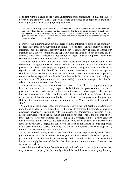confident without a grasp of the reason underpinning this confidence – it may nonetheless be part of the prototypical case, especially where confidence is an appropriate attitude to take. Against this line of thought, Craig counters:

'But be that as it may, we have still found one point on which the supporter of the belief-condition can call which has no analogue for the internalist: the lack of belief seriously disrupts our willingness to think of the subject as an informant rather than an evidential source of information. In part, at least, this happens because we are then reluctant to regard him as properly *telling* us whatever it is that he says. (p.63)'

Moreover, the inquirer has no direct concern with the informant's grasp of the correlative property in regards to its supporting an attitude of confidence; all that matters is that the informant has the required property and believes confidently enough to attract our attention (i.e., the two conditions are separable, and the latter need not be based on the former). Hence these reasons are not enough to suggest that our inquirer's conceptual strategy will have a built-in internalist condition.

 A second point to note, and one that I think bears more weight, relates again to the convenience of a good informant. Recall that what our inquirer wants is someone that can properly 'tell them whether *p*', as opposed to merely being a source of evidence in regards to their question. But if this emphasis on convenience is correct, perhaps we should also insist that they are able to tell us that they possess the correlative property  $X$ , rather than being expected to infer this from detectable facts about them. And telling us that they possess  $X$  (in the sense we are interested in) requires them to appreciate this fact – hence the internalist's condition follows.

 In response, we might ask why someone who accepted this line of thought should stop here: an informant can certainly express his belief that he possesses the correlative property X, but we need a reason to think *this* utterance is reliable. Again, either we can look for some property X\* that correlates well with being reliable about *this* sort of thing, or we can insist that the inquirer reliably tells us that he or she possess such a property. But then the same point can be raised again, and so on. Where on this scale should we stop?

 Again, I think the answer is that we should stop before the first iteration, insisting only upon belief whether *p*. To argue this, I will appeal to the three frameworks of analysis discussed previously. Beginning with the descriptive framework, oftentimes we do ascribe knowledge when the internalist condition is not met. This is the outcome of two more general facts: that subjects possessing such a property do not always consider whether or not this is the case, and further that we do not in general have access to the facts about whether a subject has considered the issue or not. Hence in some proportion of the cases where we ascribe knowledge the subject will possess some such property X, but will not meet the internalist condition.

 From the rational stance, it seems clear that all a practical inquirer really needs from a good informant in order to find out whether  $p$  is that they possess some such property X; grasping this to be the case is not necessary, and it would not be rational to exclude informants simply because of the fact that they do not. Hence the rational stance also favours externalism.

 Lastly, let us consider things from the strategic point of view. If the subject is aware that they possess the property X, then surely this will be useful to us in identifying that they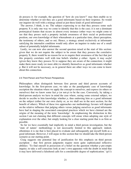do possess it: for example, the question of 'how do you know?' may then enable us to determine whether or not they are a good informants based on their response. So would our inquirer do well with a strategy aimed at just these kinds of good informants?

 The answer, I think, is no. The subject expressing to us that they possess some such property X is only one way we come to identify that this is the case; it is not a dominant prototypical feature that occurs in almost every instance (other ways we might come to see that they posses such a property include awareness of their social or professional position, our own knowledge of their whereabouts at a particular time, direct perception, the testimony of others, and so on). Hence, a strategy aimed exclusively at informants satisfying the internalist condition would only allow an inquirer to make use of a small subset of potentially helpful informants.

 Lastly, we can now also answer the second question raised at the start of this section: given that we do not require the subject to be aware that they possess the correlative property X, there would be no reason for us to require their awareness of the fact that just this property correlates well with true beliefs whether *p* either. Again, it may *useful* (given they know they possess  $X$ ) to suppose they are aware of the connection; it might make them more ready (or more able) to identify themselves as good informants whether *p*. But it will not be necessary, as in general there are other ways we can come to know about this connection.

#### 2.5 Third Person and First Person Perspectives

Philosophers often distinguish between first person and third person accounts of knowledge. In the first-person case, we take as the paradigmatic case of knowledge ascription the situation where we apply the concept to ourselves, and express (to others or ourselves) that we know some fact  $p$  (or not- $p$ ) to be the case. Conversely, by taking a third-person analysis we have in mind the case where, seeing some external subject, we decide to ascribe to him knowledge whether *p*, thus endorsing him as a good informant on the subject (either for our own clarity or, as we shall see in the next section, for the benefit of others). Which of these two approaches our methodology favours will depend on the relative influence that judging others versus judging ourselves as good informants have had in shaping the associated conceptual practices which we have claimed are the origins of the meaning of the term 'knowledge'. In emphasising the distinction in this section I am not claiming that different concepts will ensue when adopting one style of explanation over the other, but simply looking for a clear starting point that is as firm as possible.

 So far we have essentially had implicitly in mind a third person investigation, but the 'state of nature' methodology is not necessarily limited to this approach: indeed, oftentimes it is me that is best placed to evaluate and subsequently put myself forth as a good informant. However, I will argue in this section that we should take the third-person scenario as our starting point.

 Craig suggests one potential line of justification for this emphasis on third person ascription – that first person judgments require more quite sophisticated reflective abilities: 'To find oneself in possession of a belief on the question whether *p* pre-empts inquiry; to take a self-conscious look at one's own apparatus with the doubt in mind that it may have delivered a falsehood calls for a considerable degree of sophistication.' (p11)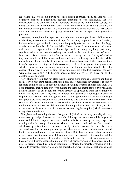He claims that we should pursue the third person approach, then, because the less cognitive capacity a phenomena requires imputing to our individuals, the less controversial is the claim that it is an inevitable feature of life in any human society. By being conservative in the abilities necessary to find oneself in our starting position, we thus broaden our enquiry: even if we should later find a reason to move to the first-person view, until such reason arises it is 'just good method' to keep our approach as general as possible.

 However, although the introspective approach may require sophisticated abilities some of the time, it seems that it needn't always: for instance, suppose I see what I initially believe to be a tiger in the distance, but subsequently take into account how the foggy weather means that this belief is unreliable. I have evaluated my status as an informant, and hence the applicability of knowledge, without doing anything particularly sophisticated at all – certainly nothing that could not be done in the state of nature. Moreover, it is well known that infants below a certain age have no 'theory of mind' – they are unable to fully understand external subjects having false beliefs, whilst understanding the possibility of their own views having been false. If this is correct then Craig's argument is not particularly convincing. Let us, then, pursue the question of which style of account we should pursue using the frameworks from chapter 1. If the concept of knowledge following from the starting point we will adopt disagrees markedly with actual usage this will become apparent later on, so let us move on to the developmental approach.

 Now, although it is in fact not clear that it requires more complex cognitive abilities, it seems correct that third-person application does enjoy numerical advantage: it is simply far more common for us to become involved in judging whether another individual is a good informant than to find ourselves making the same judgment about ourselves. Even granted that most of our beliefs are formed directly, as opposed to from the testimony of others, we do not necessarily need to employ the *concept* of knowledge in order to acquire these beliefs, and although we may be an appropriate subject for knowledge ascription there is no reason why we should have to step back and reflectively assess our status as informants in more than a very small proportion of these cases. Moreover, it is the inquirer that initiates the dialogue regarding the particular question at hand, and has easier access to facts about the circumstances surrounding his enquiry (I shall have more to say about these later).

 This given, and assuming the two diverge at all (I think in fact they probably do not), then a concept designed to meet the demands of third-person ascription will be in general more useful for the inquirer to possess, and so this is the concept we may expect to develop under the strategic framework. Moreover, the same result follows if we consider which concept it is rational to construct. If our hypothesis is correct, then the only reason we could have for constructing a concept that labels ourselves as good informants would be to recommend ourselves as such to others. But then supposing there is some divergence in how the concept will develop between the two styles of account, it will be of no use for the semantics of 'knowledge' to be suited only for a first-person scenario in these divergent cases, because the point of the first person version of the concept is to be able to present oneself as a good informant to others. Presumably everyone will be willing to assert that their own beliefs are correct; others will in general seek independent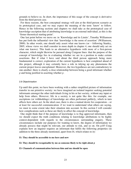grounds to believe us. In short, the importance of this usage of the concept is derivative from the third-person case.

 For these reasons, the best conceptual strategy will aim at the third-person scenario as its prototypical case, and we may expect the meaning of the term 'know' to follow. Hence in the following sections and chapters we shall take as the prototypical case of knowledge-ascription that of attributing knowledge to an external individual, as this is the 'firmer theoretical starting-point'.

 One last point before we move on: in 'Knowledge and its Limits', Timothy Williamson has put forth the influential view that 'knowledge is the norm of assertion' (Williamson, 2000). In other words, one should only assert what one knows (or – following Stanley, 2005, whose views we shall consider in more depth in chapter 4, one should only act on what one knows). This leads to an alternative hypothesis with more of a first-person character, which might likewise be pursued along Craigean lines: that the purpose of the concept of knowledge lies in evaluating whether we are in a position to make certain assertions. But if what I have said about the third person approach being more fundamental is correct, exploration of the current hypothesis is best completed ahead of this project, although it may certainly have a role in tidying up any phenomena the current project leaves unexplained. Moreover, the two hypotheses are not contradictory to one-another: there is clearly a close relationship between being a good informant whether *p* and being justified in asserting whether *p*.

#### 2.6 Objectivisation

Up until this point, we have been working with a rather simplified picture of information transfer in our primitive society: we have imagined an isolated inquirer seeking potential informants amongst the other individuals living in his or her society, without any input or help from others. However, life in a society is not quite like this: for example, our ascriptions (or withholdings) of knowledge are often performed publicly, which in turn affects how others act. In the ideal case, there is also a mutual desire for cooperation – or at least for successful communication: if we want to understand what others are saying, we must to some extent take their situation into account. In this section I will consider how complications such as these are likely to affect the concept of knowledge.

 One might think that if the purpose of knowledge is to flag approved informants, then we should expect the truth conditions relating to knowledge attributions to be highly context-dependent with regards to the circumstances surrounding enquiry. These circumstances include our purposes for wanting to know, the degree of information we already possess that might be relevant, our attitude to risk, and so on. On p.85 Craig explains how an inquirer requires an informant that fulfils the following properties (in addition to the three already mentioned, apart from I4, which relates to it):

#### **I1: They should be accessible to me here and now**

#### **I2: They should be recognisable by me as someone likely to be right about** *p*

**I3: Channels of communication between him and me should be open**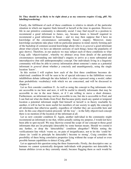#### **I4:** They should be as likely to be right about  $p$  as my concerns require (Craig,  $p85$ . My **labelling/reordering)**

Clearly, the fulfilment of each of these conditions is relative to details of the particular situation in which our inquirer finds himself or herself at the time in question. However, life in our primitive community is inherently social: I may find myself in a position to recommend a good informant to James, say, because James is himself required to recommend a good informant to Susan – and we may then suppose that I have no knowledge of the circumstances surrounding Susan's enquiry. Moreover, many knowledge ascriptions take place with no particular purpose in mind; merely forming part of the backdrop of common societal knowledge about who is *in general* a good informant about what (clearly we have an inherent curiosity of such things; hence the popularity of quiz shows). Therefore, in our analysis we may subject each of these conditions to what Craig calls 'objectivisation', whereby we abstract away from details of the particular circumstances surrounding one individual's enquiry to arrive at a more substantial and intersubjective (but still anthropomorphic) concept. Our individuals living in a linguistic community will thus be able to convey information about someone's status as a potential informant *in general* about whether *p* concisely and unambiguously, using the single locution 'know'.

 In this section I will explore how each of the first three conditions becomes derelativised: condition I4 will be seen to be of special relevance to the fallibilism versus infallibilism debate (although the idea behind it is often expressed using a *modal*, rather than probabilistic vocabulary) with which we are concerned, and will be discussed in chapter 4.

 Let us first consider condition I1. As well as using the concept to flag informants who are accessible to me here and now, it will be useful to identify informants that may be accessible to me in the near future, or if I am willing to move a short distance. Furthermore, an informant may not be accessible to me, but she is accessible to Fred, and I can find out what she thinks from Fred. But because pretty much any spatial or temporal location a potential informant might find himself or herself is in theory reachable by another, it will in fact be more useful for members of our society to apply the concept to all informants that otherwise qualify, regardless of whether they are accessible here and now. In this case objectivisation proceeds 'all the way' – in the fully objectivised concept there is no mention of the location of the informant at all.

Let us now consider condition I2. Again, another individual in the community might recommend an informant to me that, whilst actually suiting my purpose, I would not have been able to spot myself. We may likewise extend the scope of our concept to those good informants that are (in principle) detectable by some human means. Should we extend it any further, or drop the 'detectability' condition altogether? Whilst noting the verificationist line which 'warns us, on pain of insignificance, not to let this 'could be' clause (in 'could in principle be detectable') become to strong', Craig considers the possibility of there being correlative properties lying without the scope of actual or even possible human capabilities to detect (Craig, p89).

Let us approach this question using the three frameworks. Firstly, the descriptive one: as humans we cannot systemically designate individuals with properties not detectable by human abilities (even as they currently stand), because flagging them as such would be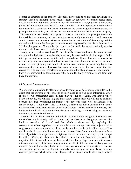counted as detection of the property. Secondly, there could be no practical advantage to a strategy aimed at including them, because again *ex hypothesi* we cannot detect them. Lastly, we cannot rationally decide to look for informants satisfying such a condition, given that our search would be futile. Hence unlike I1, if our hypothesis is correct then the detectability condition will leave its mark on the concept: good informants must in principle be detectable (we will see the importance of this remark in the next chapter). This means that the correlative property X must be one which is in principle detectable by possible human means, and the concept as we currently operate with it will pertain to actual, current human means. Moreover, given the situated nature of the enquiry and the derived emphasis on the third-person scenario, we may stand by the claim from section 2.1 that this property X must be (in principle) detectable by an external subject who themselves lack access to the truth about whether *p*.

 Lastly, let us consider condition I3: the channels of communication between me and another individual may be shut, but they can easily be reopened should I manage to find a third person that can act as an interpreter or mediator. Hence I would be unwise to exclude a person as a potential informant on this basis alone, and as before we may extend the concept to any individual with whom some human specialist may be able to communicate. But again, objectivisation does not proceed all the way: recall the first reason for only ascribing knowledge to informants rather than sources of information – they were convenient to communicate with. A similar analysis would follow from our three frameworks.

#### 2.7 Proposed Counterexamples

We are now in a position to offer a response to some *prima facie* counterexamples to the claim that the purpose of the concept of knowledge is to flag good informants. Craig speaks of two problematic cases in particular: the gangster Luigi, who knows where Mario's body is, but will not say; and those know certain facts but will not be believed because they lack credibility: for instance, the boy who cried wolf, or Matilda from Hilare Belloc's 'Cautionary Tales'. Similarly, a trained spy taken prisoner by a hostile nation may be said to know certain government secrets – he has a detectable property that indicates he is likely to be right about these sorts of things – whilst being no use as an informant, because he will not tell.

 It seems that in these cases the individuals in question are not good informants, but nonetheless are intuitively said to know; and so there is a divergence between the intuitive extension of 'know' and that which is demarcated by exploring the consequences of our hypothesis about the role of the concept. However, objectivisation suggests a response to these cases. It seems the problem lies in their failure to meet I3 – the channels of communication are shut – but this condition features in a far weaker form in the objectivised concept. Hence, Luigi may not tell me where the body is, but perhaps he will tell Carlo, and then there is a chance I can find out from him. Likewise, the majority of the townsfolk may not believe Matilda, but perhaps someone with a more intimate knowledge of her psychology would be able to tell she was not lying on this occasion (she will also likely be believed by anyone with *less* of a connection to her that was unaware of her past mistruths). Similarly with our spy; we can always imagine contrary pressures which change the playing field in such a way to alter his priorities: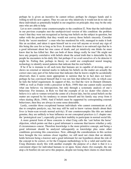perhaps he is given an incentive he cannot refuse; perhaps he changes hands and is willing to tell his new captors. Thus we can see why intuitively it would not do to rule out these individuals as potentially helpful in our enquiries on principle; they may be the only ones who are able to help.

 Let us now consider some counterexamples to the condition I2. Note that the individuals in our previous examples met the unobjectivized version of this condition: the problem wasn't that they were not recognized as having true beliefs on the subject in question, but rather with the possibility that they would not convey those beliefs sincerely. Consider firstly the 'secret murderer': a man who has murdered his wife, managed to make it look like an accident, and taken it upon himself not to ever tell anyone or reveal any sign of this being the case for as long as he lives. It seems that there is no outward sign that he is a good informant about her true cause of death, and yet intuitively one thinks he must know that he has killed her. But can both of these things really be true? He might not have any property correlative with beliefs about the actual truth that is detectable by the people he encounters in his daily life; but perhaps if we avail ourselves of a lie detector it might be. Failing that, perhaps in theory we could use complicated neural imaging technology to identify neural patterns that indicate that his real beliefs.

 If he if he is immune to all such tests that humans are in capable of devising, and so shows no external or internal marks to indicate his beliefs on the matter are actually the correct ones (any part of his behaviour that indicates that he knows might be accidentally observed), then it seems more appropriate to surmise that he in fact does *not* know: perhaps he has convinced himself that it was not him that killed his wife, in which case he fails the belief requirement. In support of this, we find the view in Dennett (Dennett, 1989) as well as Fodor (with a precursor in Ryle, 1949) that one cannot really ascertain what one believes via introspection, but only through a systematic analysis of one's behaviour. For instance, in Ryle we find the example of an ice skater who claims to believe it is safe to venture toward the centre of a frozen lake, but his actual beliefs on the matter are exposed by his tendency to ensure himself and his family stay away from it when skating (Ryle, 1949). And if beliefs must be supported by corresponding external behaviours, then they are always in some sense detectable.

 Lastly, consider those exceptional human individuals who cannot communicate at all, due to complete paralysis, say, but may still be said to know various details about their lives (a brain-scan reveals normal activity). If rare counterexamples like this are indeed genuine, they are unlikely to bear influence on our conceptual practices (c.f. chapter one: the 'prototypical case'), especially given their inability to participate in normal social life.

 A more general form of these concerns is what Craig calls the 'cart before the horse' objection, which points out that a good informant is someone that knows whether *p* only if circumstances concur. Therefore knowledge is the more primitive concept, and being a good informant should be analyzed subsequently as knowledge plus some other conditions governing this concurrence. Now, although the considerations in this section have brought the two notions closer together, we still need not claim that an identity holds between being a knower and a good informant for our hypothesis about the role of the concept to be correct, or for the Craigean methodology to be a valid and useful one. Craig illustrates nicely this with another example: the purpose of a chair is that it is a convenient object for individual humans to sit upon. Some chairs (for example, the one atop a lit bonfire) do not serve this purpose, despite not losing their claims to chair-hood;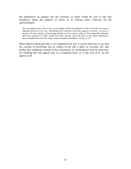but nonetheless an enquiry into the existence of chairs would do well to take this hypothesis about the purpose of chairs as its starting point. Likewise for the epistemologist:

'By envisaging such a story we do several things which the proponent of the 'cart before the horse' objection does not. If we say: 'Knowledge first, and then comes the capacity to inform', we leave it obscure why the concept of knowledge should ever have arisen, rather as the comparable objection about the concept of a chair would leave that concept, and even more so the chairs themselves, unaccountable brute-fact bits of the mental and physical habitats.' (Craig, p. 97)

What objectivisation provides is an explanation for how it can be both true to say that the concept of knowledge has its origins in the role it plays in everyday life, and further that conditions relating to the concurrence of circumstances that are necessary for fulfilling this role appear only in a weakened form; or, in the case of I1, do not appear at all.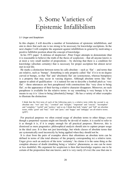## 3. Some Varieties of Epistemic Infallibilism

#### 3.1 Unger and Scepticism

In this chapter, I will describe a number of formulations of epistemic infallibilism, and aim to show that each one is too strong to be necessary for knowledge ascriptions. In the next chapter I will complete the argument against infallibilism in general by motivating a positive fallibilist position about the concept of knowledge.

 In his 1971 paper 'A defense of skepticism', Peter Unger attempts to demonstrate (that it is reasonable to believe) the truth of the thesis of scepticism – that all anyone knows is at most a very small number of propositions – by showing that there is a condition for knowledge (absolute certainty) that is necessary for proper ascription but almost never met in real life.

 He marks a distinction between terms he calls absolute – such as 'flat' – and terms that are relative, such as 'bumpy'. Something is only properly called 'flat' if it is to no degree curved or bumpy, so that 'flat' and 'absolutely flat' are synonymous, whereas bumpiness is a property that may occur in varying degrees. Although absolute terms like 'flat' appear to admit of qualification  $-$  it is natural for one to describe a football pitch as 'very flat' – these utterances are best paraphrased with constructions like 'very close to being flat', so the appearance of their having a relative character disappears. Moreover, no such paraphrase is available for the relative terms: to say something is very bumpy is by no means to say it is 'close to being [absolutely] bumpy'. He has a variety of other examples to illustrate the distinction:

I think that the first term of each of the following pairs is a relative term while the second is an absolute one: "wet" and "dry," "crooked" and "straight," "important" and "crucial," "incomplete" and "complete," "useful" and "useless," and so on. I think that both "empty" and "full" are absolute terms, while "good" and "bad," "rich" and "poor," and "happy" and "unhappy" are all relative terms. (p207)

 For practical purposes we often extend usage of absolute terms to other things; even though a purported vacuum might not literally be devoid of matter, it is useful to refer to it as though it is, if it is empty enough for all practical purposes. However, this is dismissed as mere pragmatics: philosophical analysis should aim to capture proper usage in the ideal case. It is thus not just knowledge, but whole classes of absolute terms that are systematically used incorrectly by being applied when they should not be.

 It is clear from the pairs of examples above that oftentimes an absolute term can be defined in terms of (the total absence of the property corresponding to) a relative term. Unger gives such an analysis of the term 'certainty': he claims it is the same thing as the complete absence of doubt (doubting being a 'relative' phenomena, as one can be more or less doubtful). His argument for scepticism is then that knowledge requires one to be certain of the proposition that one knows, and it is very rarely (if ever) the case that one is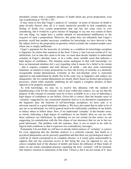absolutely certain with a complete absence of doubt about any given proposition; even one as pedestrian as  $45+56 = 101$ .

 It may seem at first that Unger's analysis of 'certainty' in terms of absence of doubt is quite trivially flawed: after all, it is surely intuitively possible to lack completely any feeling of doubt over certain propositions that one has not come close to ever considering, but it would be a gross misuse of language to say one was certain of them (for one thing, we might have a similar attitude of unconsidered indifference to the *negation* of such a proposition). However, this point does not ultimately hurt Unger's position: recall that another necessary condition for knowledge we have derived is that the subject *believes* the proposition in question, which excludes the counterexample cases where one is simply indifferent.

 Unger's argument for the necessity of certainty as a condition for knowledge ascription is linguistic: he claims that sentences of the form  $\mathbf{I}$  know  $p$ , but I am not certain of it' are infelicitous. Let us take this claim to be true; we must then decide whether to understand certainty in Unger's absolute sense, or in a wider, more variable sense that indicates a high degree of confidence. The situation seems analogous to that with knowledge: we have an intensional intuition (let's say) regarding what it means for a belief to be certain – that it requires complete and total absence of doubt – and also some extensional intuitions: in relation to many propositions we have the *feeling* of certainty as a distinctly recognisable mental phenomenon. Certainty in this non-absolute sense is somewhat opposed to and undermined by doubt, but in the same way as happiness and sadness are antagonistic: the two mental phenomena are mostly likely based on distinct physiological processes, which while mutually inhibiting do not require a complete absence of their opposite to be properly instantiated.

 As with knowledge, we may try to resolve this dilemma with the method of hypothesizing a role for the concept. And at least within this context, we can see that the purpose of the concept of certainty must be to have available to us a way of indicating a high degree of confidence in our beliefs. Given this is correct, then the broader sense of 'certainty' suggested by our extensional intuitions lead us to an alternative explanation of the linguistic data: the function of self-knowledge ascriptions, we have said, is to advocate oneself as a good informant whether *p*. We have also noted that in order to be of any use as an informant, we will in general need to be sufficiently confident of our beliefs to induce others to follow them. Now, if we understand 'certainty' in the broader sense, as merely indicating a high degree of confidence in our beliefs, then we can see why these sentences are infelicitous: by admitting we are not certain (in this sense) we are suggesting (in contradiction with the first clause of our utterance) that we are in fact *not* good informants. The problem with the sentence, then, is not so much to do with its logical truth conditions as that it expresses two contradictory messages.

 Fortunately I do not think we will have to decide which analysis of 'certainty' is correct; for even supposing that the absolute analysis is a coherent concept, that doubt as a psychical phenomena can be precisely quantified and that there are psychological states S could be in which correspond to its complete absence, is it surely quite unreasonable to suppose that one has conscious access to this being the case (as opposed to, say, an *almost* complete lack of the absence of doubt) and hence the influence of these kinds of states on our actual conceptual practises regarding the term 'certainty' will be minimal. Our intuitive reaction to statements of the form 'I know *p*, but I am not certain of it' does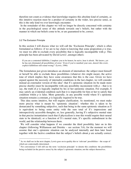therefore not count as evidence that knowledge requires this absolute kind of certainty, as this intuitive reaction must be a product of certainty in the wider, less precise sense, as this is the only kind we ever knowingly encounter.

 In the remainder of this chapter we will no longer be directly concerned with certainty in the psychological sense of this attitude towards one's beliefs, but rather with the manner in which our beliefs come to be, or are guaranteed to be, correct.

#### 3.2 The Exclusion Principle

In this section I will discuss what we will call the 'Exclusion Principle', which is often formulated as follows: if we are to lay claim to knowing that some proposition *p* is true, we must we able to exclude every possibility that is logically incompatible with *p*. This principle has been advocated by David Lewis<sup>2</sup>, amongst others:

If you are a contented fallibilist, I implore you to be honest, be naive, hear it afresh. 'He knows, yet he has not eliminated all possibilities of error.' Even if you've numbed your ears, doesn't this overt, explicit fallibilism still sound wrong?' (Lewis, 1996)

The formulation just given introduces an element of internalism: the subject must himself or herself be able to exclude these possibilities (whatever *this* might mean), the active tone of which implies they have some awareness that this is the case. Given we have argued against the necessity of internalist conditions in the last chapter, we will consider instead an externalist version of this idea<sup>3</sup>: that S's epistemic situation (to be made more precise shortly) must be incompatible with any possibility inconsistent with  $p$  – that is to say, the truth of  $p$  is logically implied by his or her epistemic situation. For example,  $S$ may satisfy an evidential condition such that it is impossible for him or her to satisfy that condition whilst  $p$  is false. More generally, in any possible world where S's epistemic situation remains a constant,  $p$  is logically required to be true.

 This idea seems intuitive, but will require clarification. As mentioned, we must make more precise what is meant by 'epistemic situation': whether this is taken to be demarcated by something subjective, such that being in the same epistemic situation as S is equivalent to being some entity with the sum total of S's impressions and introspectively accessible thoughts; or, less generally, having S's subjective mental state in that precise instantiation (such that if physicalism is true this would require their neural state to be identical); or a function of S's mental state, S's specific embodiment in the world, and the relationship between them.

 We will consider what happens if we consider the third possibility later on in this chapter (following Williamson and Dretske – see section 3.6); for the moment we will assume that one's epistemic situation can be analyzed internally and then later fused together with the factive condition that the subject's beliefs about *p* are actually correct.

 $2$  As we shall see in the next chapter, Lewis goes on to quality this to 'relevant' possibilities – the scope of which are contextually determined.

 $3$  For convenience I will still use the term 'exclusion principle' to denote this condition: the possibilities being excluded (in the passive sense) by the subject's epistemic situation, not the subject themselves.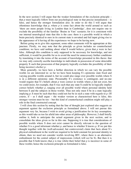In the next section I will argue that the weaker formulation of the exclusion principle – that  $p$  must logically follow from our psychological state in that precise instantiation – is false, and hence the stronger formulation also. In order to do this I will argue that oftentimes knowledge that  $p$ , where  $p$  is some fact about the world around us such as 'there are more people living in London than in Cambridge', does not require one to exclude the possibility of the familiar 'Brains in Vats' scenario; for it is consistent with our internal neurological state that this is the case: there is a possible world in which a brain precisely identical to ours in its current state is envatted and fed input giving rise to the appearance of it having all the experiences we hope to be having now.

 Before going on to give this argument, some other comments will be appropriate at this juncture. Firstly, we may note that the principle as given includes no counterfactual condition; we have said nothing about what S would believe, given that *p* were in fact false. Although this condition is only supposed to be necessary for knowledge, and not sufficient, it would be possible for us to avoid the need for unnecessary further conditions by translating it into the terms of the account of knowledge presented in this thesis: that we may only correctly ascribe knowledge to individuals in possession of some detectable property X such that possession of that property logically excludes the possibility of their being incorrect *whether p*.

 More generally, we have here a further direction in which we can vary the possible worlds we are interested in: so far we have been keeping S's epistemic state fixed and varying possible worlds around it, but we could also range over possible worlds where S is in a different epistemic state. Presumably S's existence is contingent, and no-one would require that S's beliefs about *p* were correct in worlds where *p* did not exist, but we could insist, for example, that S was such that any state S could be in logically implies correct beliefs whether *p*, ranging over all possible world where personal identity held between S and the subjects in those worlds. Thus not only must S be in a state logically implying *p*; S must be such that they could not *but* be in such a state with regards to *p*. Of course, if – as I shall argue – the weaker version as characterised here is false, this stronger version must be too – but this kind of counterfactual condition might still play a role in the final constructed concept.

 I will close this section by noting that the line of thought just explored also suggests an argument against the exclusion principle as formulated above. I will not pursue this argument very far, because I wish to avoid giving a justification for its key assumption, as this would take us too far afield into other areas of philosophy. However, I shall briefly outline it, both to anticipate the actual argument given in the next section, and to consolidate the ideas given so far in this one. Supposing it is true that considerations of possible worlds where S does not exist cannot be directly relevant to the question of whether S is a good informant whether  $p$ , and hence to whether S knows  $p$ . If we put this thought together with the (well-advocated, but controversial) claim that facts about S's physical embodiment in the world are required to be held constant for personal identity to obtain, then we need not consider worlds involving BIV, where there is an alternative embodiment for the central subject of impressions (which will *not* be S). But then it is possible that S both knows that *p* is true whilst their belief that *p* is incorrect in some of these worlds; hence the exclusion principle as formulated is false.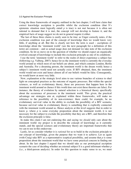#### 3.3 Against the Exclusion Principle

Using the three frameworks of enquiry outlined in the last chapter, I will here claim that correct knowledge ascription is possible whilst the exclusion condition (that S's epistemic situation must logically entail  $p$  is true) is not met because it is often not rational to demand that it is met, the concept will not develop to feature it, and the empirical facts of usage suggest we do not in general require it either.

 The last of these three claims is easily seen to be true: as Unger correctly notes, if the exclusion condition was part of the concept of knowledge then we would know very little, if anything at all. But this is clearly not how the term is used – ascriptions of knowledge about the 'imminent world' (see the next paragraph for a definition of this term) are common – and so actual usage does not demand we take note of the exclusion condition. So let us move on to the question of whether we should expect an organically evolved concept of knowledge to include this exclusion principle as one of its conditions.

 I use the term 'imminent world' to refer to the realm of direct experience a subject has (following e.g. Valberg, 2007): hence for us the imminent world is currently the everyday world around us which most of our beliefs are about, and which contains London, Berlin and Australia. For a dreaming person, the imminent world is the dream world; hence a subject's imminent world need not actually exist. If BIV obtained, then, the imminent world would not exist and hence almost all of our beliefs would be false. Consequently, we would know at most very little.

 Now, explanation at the strategic level aims to use various branches of science to shed light on conceptual practises as the outcome of organic processes. But within the special sciences, as well as evolutionary theory, these are processes that happen here in the imminent world around us (hence if this world does not exist these theories are false). For instance, the theory of evolution by natural selection is a historical theory specifically about the occurrence of processes in the imminent world. This given, the practical advantage our strategies aim at, explained within these frameworks, will make no reference to the possibility of its non-existence: there could, for example, be no evolutionary survival value in the ability to exclude the possibility of a BIV scenario, because survival value in evolutionary theory is something that is explicitly connected with the imminent world around us. Hence analysis at this level suggests that in order to know  $p$ , where  $p$  is some everyday proposition about the imminent world, it is not necessary for the subject to exclude the possibility that they are a BIV, and therefore that the exclusion principle is false.

 In make this claim I am not endorsing this and saying we *should* only care about the imminent world: my project is to describe the concept of knowledge as it currently stands, and the special sciences and evolutionary theory are important frameworks that we can to use in this endeavour.

 Lastly, let us consider whether it is *rational* for us to build in the exclusion principle to our concept of knowledge, given the purpose that we want it to achieve. Let us again (with Craig) take BIV as a representative sceptical possibility, and assume that *p* is some proposition about the imminent world that we have some practical concern in finding out about. In the last chapter I argued that we should take as our prototypical ascription scenario the case of deciding whether an external subject S is a good informant whether *p* (i.e., a third-person analysis). In order for this question to make sense to us, we must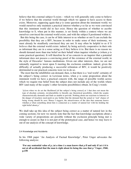believe that this external subject S exists – which we will generally only come to believe if we believe that the external world through which we appear to have access to them exists. Moreover, supposing again that  $p$  is some question about the imminent world; we would ourselves only maintain a practical interest whether *p* so far as we were convinced that this imminent world did in fact exist. Hence the question of whether to ascribe knowledge to S, when put in this manner, is set firmly within a context where we are ourselves convinced the external world exists, and with the subject S positioned within it.

 But this being the case, it can be of little interest to us whether or not S can exclude the possibility that they are a BIV, because in order to make sense of their testimony, we must already be steadfastly convinced they are not. It may often be helpful to us if S *believes* that the external world exists: indeed, by being actively cooperative in their role as informant they are in a sense acting as if they believe it to. But there is no reason we should demand more than true belief on their behalf when inquirer whether *p* (where *p* is some practical question). It will therefore be of no concern to an inquirer that a potential informant does not possess a convincing proof of the existence of the external world, in the style of Descartes' famous meditations. Given our other interests, then, we are not rationally required to insist upon S meeting the exclusion condition: indeed, given the difficulty of actually producing a successful refutation of BIV, it would be positively detrimental to our practical concerns were we to do so.

 The most that the infallibilist can demand, then, is that there is a 'real world' certainty of the subject's being correct: in Lewisian terms, when  $p$  is some proposition about the imminent world we have a practical concern with, the range of possible worlds across which we require true belief from the subject does not include any of the worlds where BIV (and many of the sceptic's other favourite possibilities) obtain. In Craig's words:

'[e]ven when we do set the likelihood [of the subject's being correct] at 1 that does not mean the type of absolute certainty, invulnerability to literally any theoretical possibility, which the sceptic characteristically demands and finds us unable to provide. Nothing about our reactions to lotteries or the danger of treachery need push us any further that the demand that the actual or 'real' chance of being wrong should be zero. Hence I suggest, the attractiveness of the idea that someone knows whether *p* when something about him is connected as a matter of natural law with his holding the right belief about *p*.'

We shall take up this idea of the subject being correct as a matter of natural law in the coming sections; for now we merely note that the fact that knowledge ascriptions about a wide variety of propositions are possible without the exclusion principle being met is enough to assure us that it is not part of the prototypical case, and hence we may leave it out of our analysis of the concept of knowledge.

#### 3.4 Knowledge and Accidents

In his 1968 paper 'An Analysis of Factual Knowledge', Peter Unger advocates the following analysis:

**'For any sentential value of**  $p$ **, (at a time**  $t$ **) a man knows that**  $p$  **if and only if (at**  $t$ **) it is not at all accidental that the man is right about its being the case that** *p***.' Unger, 1968, p.158**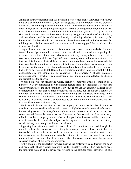Although initially understanding this notion in a way which makes knowledge whether *p* a rather easy condition to meet, Unger later suggested that the problem with his previous views was that he interpreted the notion of 'not at all accidental' too liberally: 'My main error, then, was not that of giving too vague or liberal a defining condition, but rather that of too liberally interpreting a condition which is in fact strict.' (Unger, 1971, p12.) As we shall see in the next section, interpreting it strictly we get another kind of infallibilism, and one which it will be fruitful to explore (by considering whether it is necessary for knowledge). But how should this 'accidental' clause be understood, and what reasons for thinking that it is important will our practical explication suggest? Let us address the former question first.

 Unger illustrates a sense in which it is *not* to be understood: 'In my analysis of human factual knowledge, a complete absence of the accidental is claimed, not regarding the existence or abilities of the man who knows, but only as regards a certain relation concerning the man and the fact.' (p.159) Hence one may come to know by accident, of a fact that it itself an accident, whilst at the same time it not being to any degree accidental that one's beliefs about this fact were right. In terms of our analysis, we can express this by saying that the property X, which indicates reliability whether *p*, should do so in a way that is to no degree accidental. Hence if  $p$  is a contingent matter – and in general it will be contingent, else we should not be enquiring  $-$  the property  $X$  should guarantee correctness about *p* whether *p* comes out true or not, and again counterfactual conditions are brought into the analysis.

 At this point, we can (following Craig, section 6) motivate Unger's condition in a plausible way by connecting it with another feature from the literature: it seems that whatever analysis of the third condition is given, one can usually construct (Gettier-style) counterexamples such that all three conditions are fulfilled, but the subject's beliefs are only true 'by accident', and this undermines our willingness to attribute knowledge to the subject. But why is it that the third condition (which, remember, we motivated via a need to identify informants with true beliefs) need to ensure that the other conditions are met in a specifically non-accidental way?

We have said in the last chapter that the property X should be law-like, in order to enable an inquirer to tell *in advance* that there is a high chance of a potential informant's beliefs being correct. However, Gettier-style examples are constructed in such a way that some unusual feature is present (or usual feature is absent) which makes the usually reliable correlative property X unreliable in that particular instance, whilst at the same time it actually does lead the subject to having correct beliefs, but in an entirely accidental way. An example will make this clearer.

 Supposing I am standing outside the door of the UCL seminar room, and through the door I can hear the distinctive voice of my favourite professor. I thus come to believe (correctly) that the professor is inside the seminar room: however, unbeknownst to me, the individuals in the room are actually listening to a recorded debate of some philosophical issue, and it just so happens that the voice issuing from the device's speakers was that of my favourite professor.

 In this example, the connection between hearing the professor's voice through the door and being right about whether they were inside is usually reliable – this may have been the first time such an audio device was present in the seminar room. However, in this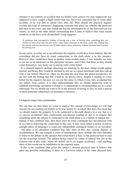instance it was entirely an accident that my beliefs were correct (we may suppose he was supposed to have caught a flight earlier that day, but it was cancelled due to some other accident, so he was able to attend class after all). Why should our practical inquirer exclude this kind of informant? Supposing someone had asked me whether the professor had been in the room, and later found out that the information he or she had received was correct, as well as the other details surrounding how I came to believe this: what reason would he or she have to be dissatisfied? Craig suggests:

'It produces that retrospective feeling of having run a risk, of having done something that one would not have done had one just been a little better informed at the time, rather like finding that the person who has just driven you 50 miles down a busy motorway without incident hasn't passed the driving test.'

In one sense, in using me as an informant the inquirer would have been unlucky that the correlation did not have its usual connections to the truth about *p* in this instance. However, they would have been in another sense terribly lucky; it was actually not wise to use me as an informant on this particular instance, and if they had done so they should count themselves very lucky not to end up with a false belief.

 To a situated inquirer, perhaps observing me listening by the door, things would appear normal, and hence they would be inclined to use me as a good informant (and thus end up with a true belief). However, when we describe the case from the global perspective we are left with the feeling that this would be an unwise move, despite it leading to a true belief for the inquirer, because we can see the sense in which it was only accidental that my beliefs were correct. It is thus understandable that we should intuitively want to withhold knowledge ascription if doing so is tantamount to recommending me as a good informant. For we should not want to be in the position of having to rely on such a person in these particular (abnormal) circumstances ourselves.

#### 3.5 Against Unger's Non-accidentalism

We can thus see that when we come to analyse the concept of knowledge we will find reasons for not wanting our beliefs to be true merely by accident. But does this mean that we should require the property X to be connected to the truth about *p* in a way that is *to no degree* accidental? One (sufficiently non-liberal) reading of this is to require that something about the subject is connected to the truth about  $p$  as a matter of natural law – indeed, if this condition fails, then there must be some contingent fact unconnected with X or *p* that is enforcing the connection in this case. It may seem rather a stretch (if not an outright abuse of language) to count any independent contingent feature as an 'accident' – but there is no absolutist condition that falls short of this; just varying degrees of accidentalness. We can imagine a series of intermediate cases: perhaps the class intended to listen to the debate on the speaker, but it had blown a fuse, so the professor had to read out the transcript instead. The subject being correct by virtue of natural law lies at the extreme end of this scale, where his beliefs are to no degree accidental – and anything short of this would not be infallibilist in the required sense.

 If this is the condition, that given the subject's internal physical state it follows that upon any possible embedding of them in a Universe subject to the same physical laws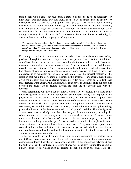their beliefs would come out true, then I think it is too strong to be necessary for knowledge. For one thing, our individuals in the state of nature have no faculty for distinguish such cases; as Craig points out (p102/3), the brain's belief-forming mechanisms are highly complex. Rather, given a connection that is in general reliable, even though there might be conceivable situations in which this connection could systematically fail, and circumstances could conspire to make the individual in question wrong whether  $p$ , it is still possible for someone to be a good informant (simply) by virtue of the corresponding property. As Craig puts it:

'Gettier cases draw attention to the fact that even very good reasons indeed can let you down; but if that be allowed to tell against Smith's credentials then it tells against everybody else's. Of course, it doesn't do either. The correlation between having excellent reasons and being right is still what it always was: fallible, but virtually unfailing.'

For example, consider the case where, a week earlier, I had heard the actual voice of my professor through the door and no tape recorder was present. Now, this time I think that I *would* have known he was in the room, even though it was actually possible (given my epistemic state, understood in an internalist sense) that he was not present and the taperecorder scenario obtained. If Unger's position entails exclusion of this kind of case, then this absolutist kind of non-accidentalism seems wrong, because the kind of factor that motivated us to withdraw our consent to ascription – i.e. the unusual features of the situation that make the correlation accidental in this instance – are absent, even though given the property and our epistemic situation it is (in some sense) an 'accident' that these features were absent. And as noted, there is no obvious absolutist-style cut-off point between the usual case of hearing through the door and the deviant case with the recorder.

When determining whether a subject knows whether  $p$ , we usually hold fixed some other background features of the situation that are not specified by a description of the physical laws. As we shall see in the next section, this practise receives support from Dretske, but it can also be motivated from the state of nature account: given there is some feature of the world that is public knowledge, ubiquitous but still in some sense contingent, we would do well to adopt a strategy aimed at knowledge ascriptions taking place with the truth of this feature assumed as a background condition. These background assumptions must be widely appreciated by everyone in the community, including the subject themselves, of course; they cannot be of a specialized or technical nature, known only to the inquirer and a handful of others, or else we cannot properly consider the informant as 'telling us whether *p*'. To take a modern example of a *de facto*, in some sense accidental, but nevertheless reliable connection, GPS systems may exploit some coincidental and arbitrary feature of the cosmos, and yet an individual in possession of one may be connected to the truth of his location as a matter of natural law (as well as veridical sense perception of the display).

 In the next chapter we will support these intuitions and somewhat fragmentary ideas about Unger's condition being too strong with a positive argument for a more lenient condition, exploring how the non-accidental character of the connection between X and the truth of  $p$  can be captured in a fallibilist way will generally include (for example) putative cases of knowledge such as hearing through a door in the usual case. The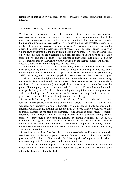remainder of this chapter will focus on the 'conclusive reasons' formulation of Fred Dretske.

#### 3.6 Conclusive Reasons; The Broadness of the Mental

We have seen in section 3 above that entailment from one's epistemic situation, conceived as the sum of one's subjective experiences, is too strong a condition to be necessary for knowledge. Now, picking up a hint from the last section, we will consider the position advocated by Fred Dretske. Dretske has claimed that knowledge ascriptions imply that the knower possesses 'conclusive reasons' – evidence which, in a sense to be clarified (together with the relevant sense of 'possession'), do entail (either logically or via the laws of nature) that the proposition in question be true. However, 'evidence' and other epistemic notions are understood in a broader sense than we have been treating them hitherto, and the extension of the concept of knowledge thus demarcated is far greater than the meagre allowance typically granted by the sceptic (indeed, we might see Dretske's position as a kind of response to scepticism).

 In this section, I will sketch out the Dretske line, something similar to which has also been advocated by thinkers such as McDowell. Firstly, it will help to introduce some terminology, following Williamson's paper 'The Broadness of the Mental' (Williamson, 1998). Let us begin with the mildly physicalist assumption that, given a particular agent S, their total internal (i.e. lying within their physical boundary) and external states (lying outside this) determine the total state of the world. Suppose further that we can treat these two kinds of states separately (if the physical laws mean that this cannot be done, the point follows anyway). A 'case' is a temporal slice of a possible world, centred around a distinguished subject. A 'condition' is something that may fail to obtain in a given case, and is specified by a 'that' clause – such as 'the subject is happy' (which obtains in a given case if and only if the centred subject of that case is happy).

A case  $\alpha$  is 'internally like' a case  $\beta$  if and only if their respective subjects have identical internal physical states, and a condition is 'narrow' if and only if it obtains in  $\alpha$ whenever  $\alpha$  is internally like some other state  $\beta$  where it obtains (it only depends on the internal). Conditions not meeting this requirement are 'broad'. Many conditions relating to mental phenomena are broad: for example, seeing Naples is broad because someone internally like someone who was seeing Naples is not therefore seeing Naples themselves; they could be subject to an illusion, for example (Williamson, 1998, p390). Conditions relating to external states in the same way that narrow clauses relate to internal states are called 'environmental'. A condition is 'composite' if and only if it may be expressed as the conjunction of a narrow condition and an environmental condition, and 'prime' otherwise.

 So far it may sound as if we have been treating knowledge as if it were a composite condition that can be decomposed into the factive condition plus some manifest properties of the observer. But consider the following kind of argument, which shows that knowledge is in fact often governed by prime conditions.

To show that a condition is prime, it will do to provide cases  $\alpha$  and  $\beta$  such that the condition obtains in both, but does not obtain in a case  $\gamma$  which is specified to be internally like  $\alpha$  and externally like  $\beta$ .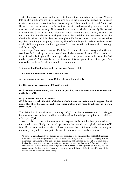Let  $\alpha$  be a case in which one knows by testimony that an election was rigged. We are told this by Smith, who we trust. Brown also tells us the election was rigged, but he is not trustworthy and we do not trust him. Conversely, let β be a case in which both Smith and Brown tell us, but this time it is Brown that is trusted and trustworthy, whereas Smith is distrusted and untrustworthy. Now consider the case  $\gamma$ , which is internally like  $\alpha$  and externally like β. In this case no informant is both trusted and trustworthy, hence we do not know that the election was rigged. Hence the condition that we know about the election is prime, and it is clear that examples with this structure can be constructed to say the same thing about pretty much any kind of knowledge that relates to the external world (Williams presents similar arguments for other mental predicates such as 'seeing' and 'believing').

In his paper 'conclusive reasons', Fred Dretske claims that a necessary and sufficient condition for knowledge is possession of 'conclusive reasons'. Reasons R are conclusive for *p* if and only if given R,  $\neg \diamond \neg p$  (where  $\diamond$  expresses some hitherto unclarified modal operator). Alternatively, we can formulate this as 'given  $R$ ,  $\ll$  ( $R \& \neg p$ )'. This means that condition 2. below is entailed by condition 1.:

#### **1. S knows that P and he knows this on the basis (simply) of R**

#### **2. R would not be the case unless P were the case.**

A person *has conclusive reasons*, R, for believing P if and only if:

**(A) R is a conclusive reason for P (i.e. (2) is true),**

**(B) S believes, without doubt, reservation, or question, that P is the case and he believes this on the basis of R,**

**(C) (i) S knows that R is the case or**

**(ii) R is some experiential state of S (about which it may not make sense to suppose that S**  *knows* **that R is the case; at least it no longer makes much sense to ask** *how* **he knows). (Dretske, 1971, p12/13)**

The definition is saved from circularity  $((C)(i)$  contains a reference to knowledge) because recursive application will eventually reduce knowledge ascriptions to conditions of the type  $(C)(ii)$ .

 Now, the Dretske line is immune from the arguments for infallibilism presented above on several counts. Firstly, the modal operator  $\sim$  does not denote logical entailment of P from R, or even entailment via the laws of nature, but entailment (either logically or nomically) only relative to a particular set of circumstances. Dretske explains:

<sup>&#</sup>x27;If someone remarks, mid-way through a poker hand, that if his neighbour had not folded (dropped from the game) he (the speaker) would have been dealt a royal flush … He is not saying that his neighbour's remaining in the game is, quite generally, sufficient for his receipt of a royal flush. Rather, he is saying that *in the particular circumstances which in fact prevailed on this occasion*, circumstances which include such things as card distribution, arrangement of players, etc., an occurrence of the first sort (neighbour remains in game) will invariably be followed by one of the second sort (he receipt of a royal flush).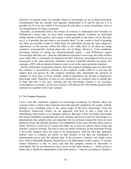Likewise, in general when we consider claims to knowledge we are to hold fixed those circumstances that are causally and logically independent of P and R, and see if it is possible for P to be true whilst S has reasons R (and there is some resemblance here to our interpretation of Unger's position).

 Secondly, as mentioned above, the notion of evidence is understood more broadly (in Williamson's sense) than we have been considering hitherto. Consider an individual sitting outside in their garden, and seeing a robin perched on the fence. Given that they see it, is it possible that the robin is not actually there? As the sceptic is fond of pointing out, there are possible worlds in which there are individuals having the same subjective experiences as this person, whilst the robin is not really there at all (they are being somehow systematically mislead about this sort of thing). However, if the conditions governing notions of seeing are characteristically prime – and Williamson argues convincingly that they are – then the individual in question is not *seeing* the robin in these cases either (this is essentially the disjunctivist line). Likewise, neurological twins are not necessarily in the same epistemic situations, because evidential relations are prime. For example, a BIV with an identical brain to yours is not in the same epistemic situation.

 On this understand of epistemic notions, then, the sceptical challenge does not show that the evidence is inconclusive, because in the sceptical worlds where P is not true the subject does not possess R. The sceptical challenge only undermines the question of whether we *know that we know*: usually veridical experiences are all that is required for knowledge itself. Therefore, if most of our experiences are veridical, and we should like to hope that this is the case, entering into the knowledge relation is an everyday, commonplace occurrence. In the next section I will discuss how the Dretske position thus outlined ties together with Craig's project.

#### 3.7 The Craigean Response

I have said that conditions imposed on knowledge ascriptions by Dretske allow the concept to have a much wider extension than that typically granted by the sceptic; indeed, perhaps even something close to the actual usage of the term 'knowledge' from the descriptive framework (which, on our approach, will have to play a large role in determining what counts as an adequate analysis). Because it does not define knowledge into being something exceptional and rarely attained, and leaves room for knowledge as a phenomenon that actually plays an important role in everyday human life from its most primitive forms, the Dretske position is not infallibilist in the sense that this thesis aims to refute. However, *prima facie* it seems that there are at least two places where Craig and Dretske's analysis diverge. The first is that our earlier insistence on the informant having a *detectable* property does not seem to fit harmoniously with the idea that epistemic notions such as evidence are prime, so that whether or not they are instantiated is indeterminate given only the internal state of the possessor (whereas one might *prima facie* think a detectable property should have to be determinate in this respect). A second, related difference is that we have said that this property should be detectable to individuals who do not themselves have access to the truth whether  $p$  – which seems to imply that it should be independent of the truth about  $p$  – whereas according to Dretske's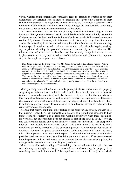views, whether or not someone has 'conclusive reasons' depends on whether or not their experiences are veridical (and in order to ascertain this, given only a report of their subjective impressions, we might need to have access to the truth about *p* ourselves). The remainder of this chapter will aim to show that, although the two positions do diverge, the contrast is not as radical as may be thought at first sight.

As I have mentioned, the fact that the property  $X$  (which indicates being a reliable informant about *p*) needs to be (at least in principle) detectable seems to imply that on the Craigean account the third condition for knowledge is narrow (in Williamson's sense; see section 3.6, above). However, this inference would be overly hasty. Recall that our analysis is proceeding from the situated viewpoint, with informant and inquirer standing in some specific spatio-temporal relation to one another, rather than the inquirer reading, say, a printout detailing the potential informant's internal physical constitution. The relevant sense of 'detectable' is therefore one that naturally brings in its train certain implications about the physical embodiment of the informant with relation to the inquirer. A typical example might proceed as follows:

Mrs. Jones, sitting in the living room, sees Mr. Jones staring out of the kitchen window. After a brief exchange in which it emerges he is staring at the moon, Mrs. Jones asks her husband if the moon is full that night. Now, the detectable property that suggests he is likely to be right about this question is not that he is internally constituted in a certain way, so as to give rise to certain subjective experiences, but rather, it is specifically that he is staring out of the window at the moon. This can be directly observed by Mrs. Jones, who can also see that he is not hooked up to any elaborate visual device designed to deceive him, and can thus infer that his experiences are veridical and (given that channels of communication are properly open  $-$  i.e., there is no question of deliberate deception) his reports accurate.

 More generally, what will often occur in the prototypical case is that when the property suggesting an informant to be reliable is detectable, the means by which it is detected (prior to a knowledge ascription) will also be such as to suggest that the property is in fact coupled to the environment in such as way as to make the experiences of the subject (the potential informant) veridical. Moreover, in judging whether their beliefs are likely to be true, we only rely on evidence presented by an informant insofar as we believe it to represent veridical experience.

 It is true that narrow conditions must feature as the basis for any strategy we ascribe to the inquirer – indeed, we can understand a strategy as a conditional response to how things seem; the strategy is in general only working effectively when these 'seemings' are veridical, but this condition does not feature as part of the strategy itself. However, this consideration applies only to the inquirer, whereas the informant – the prospective knower – will usually be an external person. This given, there is no reason to think conditions governing ascription of the detectable property X to be composite; indeed, if Dretske's arguments for prime epistemic notions connecting better with action are valid, this is the opposite of what we should expect. Consideration of the state of nature thus provides good reasons to think the evidential notions are prime. And if we do understand both the property X itself and 'detection' as concepts that are characteristically prime, the divergence between the two accounts is greatly reduced.

 Moreover, on this understanding of 'detectability', the second reason for which the two accounts may be thought to diverge is also softened: understanding the property X as something that is only instantiated if the experiences or reasons the subject has which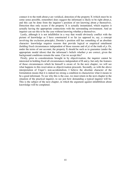connect it to the truth about *p* are veridical, detection of the property X (which must be in some sense possible, remember) does suggest the informant is likely to be right about *p*, and this can be done from the inquirer's position of not knowing about *p* themselves. Detection thus only occurs if the property  $X$  is actually instantiated, which requires it actually having the appropriate connections with the surrounding environment. And an inquirer can see this to be the case without knowing whether *p* themselves.

 Lastly, although it is not infallibilist in a way that would obviously conflict with the picture of knowledge as I have constructed it so far (as opposed to, say, a concept involving the exclusion principle), Dretske's position still has something of an absolute character: knowledge requires reasons that provide logical or empirical entailment (holding fixed circumstances independent of those reasons and of *p*) of the truth of *p*. Or, under the terms of our account, the property  $X$  should be such as to guarantee (under the appropriate modal idiom) that the informant's beliefs whether *p* are correct, given the background conditions remain the same. Can we accept this?

 Firstly, prior to considerations brought in by objectivisation, the inquirer cannot be interested in holding fixed all circumstances independent of R and *p*, but only the features of those circumstances which he himself is aware of. In the next chapter, we will see what happens to this reservation as objectivisation proceeds. Secondly, as with the above interpretation of Unger's non-accidentalism, I believe the absolute character of the formulation means that it is indeed too strong a condition to characterize what it means to be a good informant. To see why this is the case, we must return in the next chapter to the situation of the practical inquirer, to see just how demanding a typical inquirer will be. This is the subject of the next chapter, in which the argument against infallibilism about knowledge will be completed.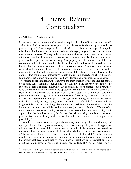### 4. Interest-Relative Contextualism

#### 4.1 Fallibilism and Practical Interests

Let us recap over the situation. Our practical inquirer finds himself situated in the world, and seeks to find out whether some proposition  $p$  is true – for the most part, in order to gain some practical advantage in the world. Moreover, there are a range of things he takes himself to know about the world, and a (much larger) range of facts about the world that he does not know. Consequently, his epistemic situation (understood in the narrow, internalist sense) will mark out a range of 'open possible worlds' that he could be in, given that his experience is a certain way. Any property X that is a serious candidate for correlating well with being reliable about *p* will show the informant to be right in their beliefs about *p* across a wide range of these possible worlds. Moreover, in a particular case, when the inquirer discerns that a potential informant is in possession of such a property, this will also determine an epistemic probability (from the point of view of the inquirer) that the potential informant's beliefs about *p* are correct. Which of these two formulations is the most fundamental – and how demanding is our inquirer to be here?

 According to the infallibilist, the answer to the later question is that the inquirer should be in some sense maximally demanding – so that, given the property, the truth of the subject's beliefs is entailed (either logically or nomically) to be correct. This given, there is no difference between the modal and epistemic formulations – if we know someone is right in all the possible worlds that might be the actual world, then our epistemic probability of their being right is 1 (and conversely).<sup>4</sup> However, as we have seen, when we take the purpose of the concept of knowledge as determining its core features, and not a side-issue merely relating to pragmatics, we see that the infallibilist's demands will not in general be met: for one thing, there are some possible worlds consistent with the inquirer's experience that will be paid no attention (such as worlds where BIV and other radical sceptical scenarios obtain). Moreover, to express things probabilistically, I will argue below that it will only rarely be the case that when seeking an informant for some practical issue one will only settle for one that is likely to be correct with (epistemic) probability 1.

 Given that the two notions come apart, then – to say something holds in a wide range of open possible worlds is by no means to say it is (epistemically) likely – I will suggest that either a modal or a probabilistic deficiency in an individuals credentials is enough to undermine their prospective claims to knowledge whether  $p$  (as we shall see in section 4.5 below, this echoes a suggestion of Jason Stanley – Stanley, 2005). In the previous chapter, we saw how the third person nature of our enquiry and the consequent set-up of the prototypical case meant that for some kinds of questions (i.e., practical questions about the imminent world) some open possible worlds (e.g., BIV worlds) were likely to

<sup>&</sup>lt;sup>4</sup> Mathematicians distinguish between 'certain' and 'with probability 1', with the former entailing the latter but not conversely. However, for our purposes this distinction may be safely ignored.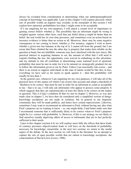always be excluded from consideration in determining when our anthropomorphisized concept of knowledge was applicable. Later in this chapter I will explore precisely which sets of possible worlds an inquirer may exclude; in the remainder of this section I will explore how epistemic probabilities less than 1 might come to be acceptable.

 If I am enquiring for my own purposes, I will attach a certain level of importance to gaining correct beliefs whether *p*. The possibility that an informant might be wrong is weighed against various other facts, such that any belief about *p* might be better than no belief: the real world has its own time pressures, and sometimes even an action based on incorrect evidence is better than no action at all. Moreover, there may be some negative consequence to not coming to know whether  $p$ . For instance, suppose I wish to know whether a given tree has bananas at the top of it; I cannot tell from the ground, but I am aware that Peter climbed the tree the other day (a property that makes him reliable on the question at hand, but not infallible; someone may have interfered with the tree since). My practical interest in acquiring bananas to eat, the amount of effort that I will need to expend climbing the tree, the opportunity costs waived in embarking on this adventure, and my attitude to risk all contribute to determining some minimal level of epistemic probability that must be met in order for it to be rational (or strategically prudent) for me to follow the information given to me by Peter. Unless I am maximally risk-averse – and there is no reason to suppose individuals in the state of nature would be like this; in fact, everything we have said so far seems to speak against it – then this probability will usually be less than 1.

 In the general case, whenever I am enquiring for my own purposes, I will take all of the practical facts of this nature (of which I am aware) into account and adopt a threshold of 'likeliness to be correct' that must be met in order for an informant to count as acceptable to me – that is to say, I will only ask informants who appear to possess some property  $X$ which suggests that they are (epistemically) at least *this* likely to be correct on the matter in question. This is Craig's condition I4 that we met in chapter 2. However, as was also made clear in chapter 2, we have thus far considered only a simplified version of things: knowledge ascriptions are not made in isolation, but in general in our linguistic community they will be made publicly, and hence have certain repercussions. Likewise, sometimes I may want to recommend an informant to Fred, without having any idea what Fred's purposes are in wanting to know – so, one might think, I had better make sure that I recommend someone that is sufficiently likely to be correct *whatever* Fred's purposes might be (i.e. correct with probability 1). However, if this is our strategy we are likely to find ourselves usually depriving others of access to informants that are in fact perfectly sufficient to their needs.

 Later in this chapter (section 4.4) we will explore more fully the effects that these kinds of contrary pressures objectivisation leads to will have on the threshold of probability necessary for knowledge; meanwhile, in the next two sections we return to the modal aspect of the debate. In the next section we will look to the literature for an attempt to capture the sets of open possible worlds that are salient to knowledge ascriptions: the contextualism of David Lewis (Lewis, 1996).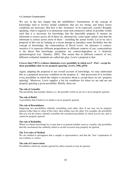#### 4.2 Lewisian Contextualism

We saw in the last chapter that the infallibilist's formulations of the concept of knowledge tend to involve modal conditions that are too strong, and hence looser conditions are necessary. But how is this 'looseness' to be expressed, exactly? Roughly speaking, what is required is to demarcate some non-exhaustive subset of possible worlds such that it is necessary for knowledge that the detectable property X ensures an informant is correct across all of them (or, alternatively, some larger subset such that the informant is correct across most of them – including the actual world). Let us try out a proposal of this sort by looking at a recent attempt to introduce some flexibility into the concept of knowledge: the contextualism of David Lewis. An utterance is contextsensitive if it expresses different propositions in different contexts of use; contextualism is the thesis that knowledge ascriptions are context-dependent in 'a distinctly epistemological way' (Stanley, 2005). This means that in different contexts of use, different evidential standards are called into play. Lewis's proposal is that:

#### **S** *knows* **that** *P* **iff S's evidence eliminates every possibility in which** *not-P* **- Psst! - except for those possibilities that we are properly ignoring. (Lewis, 1996, p554)**

Again, adapting the proposal to our overall account of knowledge, we may understand this as a proposed necessary condition on the property  $X -$  that possession of it excludes every possibility in which the subject is incorrect about  $p$ , except those we are 'properly ignoring'. Moreover, Lewis supplies a list for conditions for when we are and are not properly ignoring a given possibility. Briefly, these are:

#### **The rule of Actuality**

The possibility that actually obtains (i.e. the possible world we are in) is never properly ignored.

#### **The rule of Belief**

A possibility that S believes to obtain is never properly ignored.

#### **The rule of Resemblance**

Supposing two possibilities saliently resembling each other; then if one may not be properly ignored (other than in virtue of this rule), then neither may the other. For example, the possibility that you win the lottery saliently resembles the actualized possibility in which you do not, and so cannot be properly ignored.

#### **The rule of Reliability**

Where we obtain knowledge by a route that is in general reliable (such as visually), the possibility that this mechanism has suddenly failed us on this occasion may properly be ignored.

#### **The Two rules of Method**

We are entitled to presuppose that a sample is representative, and that the 'best' explanation of our evidence is correct.

#### **The rule of Conservatism**

Possibilities which are usually ignored by others around us may be ignored.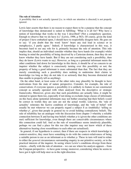#### **The rule of Attention**

A possibility that is not actually ignored [i.e. to which our attention is directed] is not properly ignored.

Lewis later asserts that there is no reason to expect there to be a purpose that the concept of knowledge thus demarcated is suited to fulfilling: 'What is it all for? Why have a notion of knowledge that works in the way I described? (Not a compulsory question. Enough to observe that we do have it.)' (Lewis, 1996, p 563). Of course, given the kind of project I have embarked upon, I should have to respectfully disagree here. He goes on to say: 'if you doubt that the word 'know' bears any real load in science or in metaphysics, I partly agree.' Indeed, if knowledge is characterized in this way, it becomes hard to see any role for it, primarily because the rule of attention. This rule implies that, should an individual consider whether they have hands (for example) whilst bearing in mind the possibility of being deceived by a Cartesian demon, then they do not know whether they have hands. But if they are not considering such a possibility, then they do know (Lewis wants to say). However, as long as a potential informant meets the other conditions laid down for knowledge in this thesis, it should be of no concern to an inquirer whether the subject is consciously turning over this possibility or not; the property of being a good informant is more substantial than that. The fact that they are merely considering such a possibility does nothing to undermine their claims to knowledge (so long as they do not take it so seriously that they become distracted and thus unable to properly tell us anything).

 On the other hand, at least some of the other rules may plausibly be thought to have motivations from the state of nature perspective. Consider, for example, the rule of conservatism; if everyone ignores a possibility it is unlikely to feature in our constructed concept as actually operated with when analysed from the descriptive or strategic frameworks. Moreover, given also that such possibilities are actually false, it might be rational to ignore them too, especially if not doing so excludes large classes of informants on this basis alone (potential informants may not bother ensuring that their beliefs *would* be correct in worlds they are sure are not the actual world). Likewise, the 'rule of actuality' reiterates the factive condition of knowledge, and the 'rule of belief' will usually be met wherever we can properly regard a subject S as (truthfully) 'telling us whether p', given that people in general try to avoid holding contradictory beliefs. The rule of reliability has an analogue with the discussion from chapter 3 whereby a reliable connection between X and having true beliefs whether *p* is (given the other conditions are met) sufficient for knowledge, even though there are conceivable circumstances where this connection could fail. And as the rule of resemblance seems intuitively plausible, perhaps we can find a place for this too (the inquirer may not know which of these alternatives bearing close resemblance to each other are actualized).

 In general, if our hypothesis is correct, then if there are respects in which knowledge is context-sensitive, they must have something to do with the context-relativeness of being a suitable person to use as an informant as to whether *p*. These in turn will tend to relate to either the *general* circumstances surrounding enquiry in our primitive society, or to the practical interests of the inquirer. In seeing where Lewis's conditions diverge from these criteria – chiefly with the rule of attention – we can see where his analysis appears – from the Craigean perspective – to have gone wrong; moreover, considering where he seems to have got it right will help steer us in the right direction.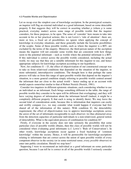#### 4.3 Possible Worlds and Objectivisation

Let us recap over the simplest case of knowledge ascription. In the prototypical scenario, an inquirer will flag an external individual as a good informant, based on some detectable property X that suggests they will be correct in asserting whether  $p$  (where  $p$  is some practical, everyday matter) across some range of possible worlds that the inquirer considers, for these purposes, to be open. The sense of 'consider' here means to take into account in his or her practical actions; this is not Lewis's 'rule of attention': there are, more or less, a fixed set of possibilities we ignore when applying the concept of knowledge in everyday situations, and these generally include the favourite possibilities of the sceptic. Some of these possible worlds, such as where the inquirer is a BIV, are excluded by the terms of the enquiry. Moreover, the third-person nature of the ascription means the inquirer will not consider some worlds that are consistent with how things seem to the potential informant – such as worlds where the potential informant is a BIV. If this individual is correct across the possible worlds considered, including the actual world, we may say that they are a suitable informant for this inquirer to use, and hence appropriate subjects for knowledge ascription according to our hypothesis.

Now, for conditions  $I_1 - I_3$ , the effect of objectivisation of our constructed concept was to take us from relativised conditions that depended on the situation of the inquirer, to more substantial, intersubjective conditions. The thought here is that perhaps the same process will take us from this range of open possible worlds that depend on the inquirer's situation, to a more general condition simply referring to possible worlds centred around the informant that are close to the actual world – hence ending up at an account with modal aspects somewhat similar to that of Robert Nozick (Nozick, 1981).

 Consider two inquirers in different epistemic situations, each considering whether to use an individual as an informant. Each brings something different to the table; the range of possible worlds they consider to be open will be different (but overlapping), and they will have varying degrees of information about the informant herself (indeed, it might be a completely different property X that each is using to identify them). We may leave the second kind of consideration aside, because this is information that inquirers can easily and swiftly compare (i.e., we may consider what would happen if everyone had first shared all of the information of this nature). With condition I2, the detectability requirement, the effect of objectivisation was to approve knowledge ascriptions across the *union* of the set of informants recognizable to each observer; we thus abstracted away from the detection capacities of particular individuals to a non-relativized, general notion of detectability. What is the equivalent process of combination for condition I4?

 Firstly, if everyone in the society does not take seriously the possibility that some particular class of possible worlds obtains, then this class of possible worlds will not be considered when evaluating good informants (c.f. Lewis's 'Rule of Conservatism'). In other words, knowledge ascriptions occur against a fixed backdrop of 'common knowledge' within the society. Hence, it will be permissible for knowledge-ascriptions relating to informants that are correct across the union of open possible worlds of every competent observer in the society (or in some restricted sense, every *possible* observer) to enter into public circulation. Should we stop here?

 Supposing I were to recommend an individual as a good informant on some particular question, because I can tell he is correct in all of the possible worlds I seriously consider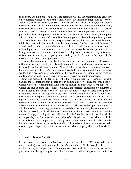to be open. Should it concern me that the person to whom I am recommending considers other possible worlds to be open; worlds where the informant might not be correct? Again, we have two contrary pressures; on the one hand, no; I can in good conscience recommend this person, and allow this recommendation to become commonly believed, because I firmly believe that the informant's beliefs on the matter in hand will be correct. It is true that if another inquirer seriously considers some possible world to be a possibility, then if the potential informant will not be correct in that world, the inquirer will not think he is a good informant. But from my point of view, this might be diagnosed as a case where, due to his limited perspective on the situation and what possible worlds might be actualized, this other inquirer is simply wrong. On the other hand, however, I would also like these recommendations to be believed: firstly due to the altruistic motive of wanting to enable others to make use of them, and secondly because presumably it is in my interests not to acquire a reputation for being inept at recommending informants (this second desire might be partly motivated by the first), or to suffer reproach for recommending someone inappropriate.

 It seems the situation here is like this: we can imagine two inquirers, each having a different set of open possible worlds, and we are interested in which set is the correct one to consider for knowledge ascriptions. Now, it is likely that there is no objective answer here: only one world is *really* open, given all available information, and that is the actual world. But if we restrict consideration to this world alone, we should be left with no modal condition at all – and we will have clearly missed the point somewhere.

 Perhaps it would be better to describe the situation like this: there are general background assumptions that people in our primitive society share, and only possible worlds where these assumptions hold true are relevant to knowledge ascriptions (these worlds are thus in some sense 'close', although not expressly understood by inquirers as centred around the actual world, for they do not know which of these open possible worlds this actual world is). However, these assumptions are neither static nor overly determinate and explicit: given that we might be in a privileged epistemic position with regard to what possible worlds might actually be the real world, we can also make recommendations to others. If a recommendation is sufficient to persuade the person to whom we are recommending that the open (from their perspective) possible worlds in which the subject are wrong are in fact not candidates for actuality, the recommendation will be successful, and it will be in our interests to make it. If not, we always have the option of simply asserting that we believe their beliefs on the matter in question will be true – possibly supplemented with some kind of explanation as to why. Moreover, if the extra information we supply in excluding some of the worlds in which the potential informant would be wrong is overly specialized, detailed or technical, we then cease to be able to regard this potential informant as someone who is properly able to 'tell us whether *p*'.

#### 4.4 Objectivisation and Probability

Let us now return to the probabilistic aspect of the debate. We have said (preobjectivisation) that our inquirer seeks an informant who is 'likely enough to be correct for his [the inquirer's] purposes': if the question is one such that even an answer with a good chance of being wrong is better than no answer at all – perhaps we are subject to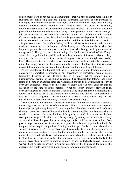some penalty if we do not act, such as starvation – then we may be rather more lax in our standards for considering someone a good informant. However, if our purposes in wanting to know are very important indeed, we will tend to be much more discriminating when we come to decide whom we are willing to trust. This given, in the simple, individual case it seems that the probability threshold required – the minimum epistemic probability with which the detectable property X must predict a correct answer about *p* – will be relativised to the inquirer's concerns. In the next section we will consider (Stanley's) objections to the claim that knowledge is context-dependent in this way; in this section we will consider what happens to this condition as objectivisation proceeds.

 As previously noted, I may often find myself in a position to recommend, perhaps via a mediator, informants to an inquirer, whilst having no information about what that inquirer's purpose is in wanting to know (other than what is suggested by the nature of the question). This given, there is something of a 'pull towards certainty' (in Craig's words) here – perhaps I should do well to only recommend informants who are likely enough to be correct to meet any practical purpose this informant might conceivably have. The same is true if knowledge ascriptions are made with no particular purpose in mind, but simply to add to the general cumulative store of information that is shared amongst the community: we do not know the purpose for which they will be used.

We may supplement the thought that there is something of a pull towards demanding increasingly competent informants in our ascriptions of knowledge with a notion frequently discussed in the literature: that of a lottery. Whilst certainly not an uncontroversial feature of the human condition, it is plausible that lotteries and other forms of betting at quantified rates are widespread enough to bear influence on current everyday conceptual practice in the world of today (we can thus consider this an extension of the state of nature method). What the lottery example provides is an everyday situation in which an inquirer's needs may be made arbitrarily demanding: if a lottery has n tickets, then the testimony of an informant who claims – with probability less than n-1/n of being right – that the inquirer will lose if he buys a ticket may find that his testimony is ignored if the lottery's jackpot is sufficiently high.

 Given that there are common situations where an inquirer may become arbitrarily demanding, then, as well as that oftentimes we will not know in advance what purpose a knowledge ascription may be used for, we might think that objectivisation will leads to a situation where the concept of knowledge is only correctly applied to informants who are certain to be correct. However, this line of thought is too quick: it assumes that the best conceptual strategy would aim at never being wrong. By setting our threshold at certainty we would achieve this goal, but in insisting upon this condition we also exclude from proper usage vast numbers of cases where a particular informant is perfectly suitable for the purposes an inquirer might have (bearing in mind specifically the case where this is so but not known to us). Our withholdings of knowledge have social consequences: in doing so we are suggesting to others that they do not act on this information; that they do not treat certain individuals as good informants. And when there is clear benefit in them treating them as good informants – the informant was in fact sufficiently likely to be correct, given their purposes in wanting to know, as well as factively correct – it seems we will have spoken incorrectly, given our assertion of the primacy of the role of the concept. This would therefore be a poor strategy for a community to adopt.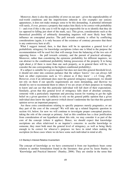Moreover, there is also the possibility of error on our part – given the unpredictability of real-world conditions and the imperfections inherent in (for example) our sensory apparatuses, it does not make strategic sense to be this demanding. A potential informant will rarely, if ever, possess a property that makes him likely to be correct with probability 1 – and even if this is the case it will be nigh on impossible for us to identify that they do (as opposed to falling just short of the mark, say). This given, considerations such as the theoretical possibility of arbitrarily demanding inquirers will most likely bear little influence on conceptual practice. The pull towards certainty is offset by conflicting considerations (again, it is only because of the existence of contrary pressures that there is any controversy here at all).

What I suggest instead, then, is that there will be in operation a general level of probabilistic stringency for knowledge ascriptions (when one is blind to the purpose the recommendation will be used for) that will emerge from the balancing of the two sets of opposing forces – the pull towards certainty, and the pursuit of practical advantage. Moreover, rather than considering the epistemic probability for different inquirers, we can abstract to the conditional probability linking possession of the property X to being right about  $p$  (if there is more than one such property, as in general there will be, we consider the one corresponding to the highest conditional probability).

 If a subject is suitable for a given inquirer but does not meet this general threshold level, it should not enter into common parlance that the subject 'knows' (we can always fall back on other expressions such as 'it's almost as if they knew' – c.f. Craig,  $p98$ ). However, even if an informant does meet the general stringency requirement, we should not rely on them if our specific requirements are more demanding, and likewise we should try not to recommend them to others if we are aware of their purposes in wanting to know and can see that this particular individual will fall short of their expectations. Similarly, given that this general level of stringency falls short of absolute certainty, someone with a particularly important and pressing reason for wanting to get the right belief on a given question is unlikely to rely on the general public opinion that a given individual does know the right answer (which doesn't undermine the fact that this general opinion serves an important purpose).

 Are these extra considerations relating to specific purposes merely pragmatics, or are they part of the core of the concept? We will take up a related linguistic question in section 4.6, below; for now we will continue to investigate proper conceptual practice, taking the role of the concept as primary. And as this condition has a clear justification from consideration of our hypothesis about this role, we may consider it as part of the core of the concept (where it applies). Hence, we should expect that knowledge ascriptions are often relativised to an inquirer's concerns: to ascribe knowledge to someone, they must both meet the general level of stringency, as well as being likely enough to be correct for whoever's purposes we have in mind when making the ascription (in those cases where we do have some such individual in mind at all).

#### 4.5 Stanley's Interest-Relative Invariantism

The concept of knowledge as we have constructed it from our hypothesis bears some relation to another formulation found in the literature: that given by Jason Stanley in 'Knowledge and Practical Interests' (Stanley, 2006). They are similar in the sense that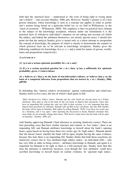both take the 'practical facts' – understood as 'the costs of being right or wrong about one's beliefs' – into account (Stanley, 2006, p6). However, Stanley's project is of a first person character, where knowledge is seen as a concept one applies in order to justify one's actions being based on a particular belief (or, as we find in Williamson, as the 'norm of assertion' – Williamson, 2000). The emphasis is thus on practical facts relating to the subject of the knowledge ascription, whereas under our formulation it is the practical facts of whichever individual's situation we are taking into account (of which the subject, and indeed the attributor themselves, are merely special cases). I should also point out that the analysis Stanley gives is meant only as a token attempt to encapsulate the concept of knowledge, the purpose of which is merely to demonstrate the manner in which practical facts are to be relevant to knowledge ascriptions. Stanley gives the following conditions for knowledge of  $p(x, w, t)$  and  $p$  stand for names of person, worlds, times and propositions respectively):

**(1)** *p* **is true at** *w*

**(2) ¬***p* **is not a serious epistemic possibility for** *x* **at** *w* **and** *t*

**(3)** If *p* is a serious practical question for *x* at *t*, then  $\neg p$  has a sufficiently low epistemic **probability, given** *x***'s total evidence**

**(4)** *x* **believes at** *t* **that** *p* **on the basis of non-inferential evidence, or believes that** *p* **on the basis of a competent inference from propositions that are known by** *x* **at** *t***. (Stanley, 2006, p89/90)**

In defending this 'interest relative invariantism' against contextualism and relativism, Stanley refers to five cases, the last of which I shall quote in full:

'*High Attributor-Low Subject Stakes*. Hannah and her wife Sarah are driving home on a Friday afternoon. They plan to stop at the bank on the way home to deposit their paychecks. Since they have an impending bill coming due, and very little in their account, it is very important that they deposit their paychecks by Saturday. Hannah calls up Bill on her cell phone, and asks Bill whether the bank will be open on Saturday. Bill replies by telling Hannah, 'Well, I was there two weeks ago on a Saturday, and it was open.' After reporting the discussion to Sarah, Hannah concludes that, since banks do occasionally change their hours, 'Bill doesn't really know that the bank will be open on Saturday'. (Stanley, 2006, p5).

with Stanley approving Hannah's final utterance as seeming intuitively correct. There are four preceding cases that have similar structure and content: in 'low stakes', there is no impending bill, and Hannah attributes knowledge to herself about the bank's opening hours, again based on having been there two weeks ago. In 'high stakes', Hannah admits that she doesn't know whether the bank will be open, despite having the same evidence, because this time there is an impending bill. Stanley thinks that both these assertions are intuitively correct, but in 'low attributor-high subject stakes', an individual (Jill) – who has very little at stake in being correct – attributes knowledge to Hannah, and again it is important for Hannah to be right as there is a bill payment due. Stanley feels that this time the utterance is intuitively incorrect, even though the 'low attributor' could have ascribed knowledge to herself based on similar evidence. In 'ignorant high stakes',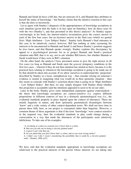Hannah and Sarah do have a bill due, but are unaware of it, and Hannah thus attributes to herself the status of knowledge – but Stanley claims that the intuitive reaction to this case is that she does so incorrectly.

 Let us agree with Stanley's diagnosis of the appropriateness of knowledge ascriptions in each situation (given that the bank is in fact open on Saturday): how do these cases fit with the two (Stanley's, and that presented in this thesis) analyses? As Stanley argues convincingly in his book, his interest-relative invariantism gives the correct answer in each of the first four cases, but an incorrect answer in the final case (which we quoted first) 'High Attributor – Low Subject Stakes'. Stanley feels Hannah's final utterance in this case to be intuitively correct; however, Bill has nothing at stake (assuming his interests to be unconnected to Hannah and Sarah's) and hence Stanley's position suggests he *does* know, and that Hannah speaks wrongly. Stanley explains this discrepancy by appeal to a psychological pressure for us to project Hannah and Sarah's practical situation onto Bill; that is to say, not to ask whether Bill knows, but whether Hannah or Sarah would know if they were in Bill's situation.

 On the other hand, the analysis I have presented seems to give the right answer in all five cases (so long as Hannah and Sarah meet the *general* stringency conditions in the first two cases – wherein if they do not then intuition has misled us here), because it is the practical facts relating to whomever the knowledge ascription is going to be made use of by that should be taken into account. If we allow ourselves to understand this 'projection' described by Stanley in a loose, metaphorical way – that consider relying on someone's evidence is similar to imagining what you would do in their epistemic situation – then this seems to coincide with Stanley's assertion about what is going on in 'High Attributor – Low Subject Stakes'. But then, we may simply disagree with Stanley about whether this projection is acceptable (and the intuitions appealed to seem to be on our side).

 Later in the book, Stanley gives some independent arguments against contextualism – the thesis that knowledge ascriptions are context-sensitive (i.e. express different propositions in different contexts of use) in a distinctly epistemological way (i.e., the evidential standards properly in place depend upon the context of utterance). These are mainly linguistic in nature, and draw (primarily grammatical) disanalogies between 'know' and a wide variety of other context-dependent terms. We shall not have time to pursue these fully here, as our project is conceptual rather than linguistic. However, a common theme of these arguments is that if the term 'knowledge' were context-sensitive in the required way, then the evidential standards in play could change during a conversation in a way that made the utterances of the participants seem intuitively infelicitous. To take one of his examples:

- 'A. (Looking at a zebra in a normal zoo). I know that is a zebra.
- B. But can you rule out its being a cleverly painted mule?
- A. I guess I can't rule that out.
- B. So you admit that you don't know that's a zebra, and so you were wrong earlier?

A. I didn't say I did. I wasn't considering the possibility that it could be a cleverly painted mule.' (Stanley, 2006, p52)

We have said that the evidential standards appropriate to knowledge ascriptions are relativised to the practical interests of the person whose interests we are taking into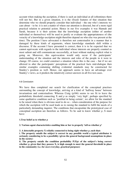account when making the ascription, if there is such an individual at all (oftentimes there will not be). But in a given situation, it is the (fixed) features of that situation that determine who we should properly consider that individual – the one who's interests we care about – to be: it is not a matter of where our attention is directed, but of a more rigid practical relation to potential action. Hence in our five examples it was Hannah and Sarah, because it is their actions that the knowledge ascription (either of another individual or themselves) will be used to justify or evaluate the appropriateness of (the veracity of a knowledge-ascription might therefore depend on who else was present at the time). The position I have advocated is therefore not contextualist in a manner that is damaged by these kinds of arguments, where knowledge standards shift within a discourse. If the account I have presented is correct, then it is to be expected that we cannot equivocate with regards to the individual whose interests are properly counted as most salient and still communicate successfully, at least without making explicit what is going on. Moreover, this equivocation would only occur if the participants' understanding of the situation and the interests and roles of the people in it were to change. Of course, we could construct a situation where this is the case – but if we are allowed to alter the participants' perceptions of the practical facts mid-dialogue then similar examples containing shifting evidential standards may be constructed for Stanley's position as well. Hence, our approach seems to have an advantage over Stanley's views, as it predicts the intuitively correct answers in all five test cases.

#### 4.6 Conclusion

We have thus completed our search for clarification of the conceptual practises surrounding the concept of knowledge, arriving at a kind of 'halfway house' between invariantism and contextualism. Whereas Craig (p166) seems to see fit to leave the probabilistic threshold connecting X and *p* as simply 'very high', perhaps specified by some qualitative condition such as 'justified in being certain', we allow for the standard to be raised when there is obvious need to do so – when consideration of the purpose for which the ascription will be used leads us to raising the standard to fulfil the needs of a particularly demanding inquirer. The conditions that encapsulate the prototypical case of conceptual ascription are therefore as follows. To be said to know whether  $p$ , S must have:

#### **1.True belief as to whether** *p*

#### **2. Various agent characteristics enabling him or her to properly 'tell us whether** *p***'**

**3. A detectable property X reliably connected to being right whether** *p***, such that:**

**i. The property entails the subject is correct in any possible world a typical attributor is seriously considering to be a possibility (given the general background assumptions in place in the society)**

**ii. The property entails the condition probability P(X|***p***) of the subject's being correct whether** *p***, given that they possess X, is high enough to meet the general threshold in place in the community (i.e. for** *most* **everyday, practical purposes)**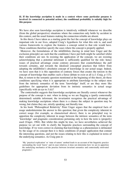**iii. If the knowledge ascription is made in a context where some particular purpose is involved (is connected to potential action), the conditional probability is suitably high for this purpose**

We have also seen knowledge ascription is intuitively withheld whenever we describe (from the global perspective) situations where the connection only holds by accident in this context, and the usual features making the connection reliable are absent.

 In this thesis I have taken as a starting point the fact the concept of knowledge plays an important role in our lives, adopted Craig's hypothesis for what this role is, and used various frameworks to explore the features a concept suited to that role would have. These conditions therefore specify the cases where the concept is properly applied.

 Moreover, the formulations of the infallibilists (having in mind here Unger and the exclusion principle) are such that the conditions I have put forth might be satisfied whilst their conditions are not. In resisting the application of the concept, we are resisting acknowledging that a potential informant is sufficiently qualified for the role: hence issues of practical advantage create contrary pressures that counterbalance the pull towards certainty, and towards the idealized conceptual practices that follow from adopting the infallibilist's absolutist concept of knowledge in our actual usage. Indeed, we have seen that it is this opposition of contrary forces that creates the tension in the concept of knowledge that enables such a fierce debate to exist at all (c.f. Craig, p 113). But, to return to the semantic question mentioned at the beginning of this thesis, do these conditions specifying when it is appropriate to attribute knowledge to the subject stem from the intrinsic semantics of the term 'knowledge' itself, or are they more like guidelines for appropriate deviation from its intrinsic semantics in actual usage (specifically with an eye to 3.iii)?

 The contextualist suggests that knowledge ascriptions are literally correct whenever the purpose of the concept is met: when in doing so we are flagging a (partly contextually determined) suitable informant; the invariantist recognizes the practical advantage of making knowledge ascriptions where there is a chance the subject in question may be wrong, but claims they are, strictly speaking, not literally true.

 In his book 'Philosophical Relativity' Peter Unger argues that the empirical facts of usage underdetermine the answer to this question; that given the complexity inherent in correct usage (for example, as characterised above), there is no principled way to apportion the complexity inherent in usage between the intrinsic semantics of the term 'knowledge' and pragmatic considerations pertaining only to how the term is (properly) used (Unger, 1984). But whilst this might be true, we have nevertheless achieved the purpose we set out with: to clarify the linguistic practices surrounding the concept of knowledge. If we were correct in claiming that knowledge as a phenomenon is delineated by the usage of its concept then it is these conditions of proper application that contain the interesting questions, and not the issues relating to how this is explained in terms of the underlying semantics. As Craig puts it:

<sup>&#</sup>x27;My 'practical explication' or 'state of nature' method leads to an account of the linguistic practice surrounding the word 'know' and its near relatives; it does not determine how we are to apportion the underlying mechanics of the practice between invariant semantics and contextually motivated pragmatics'.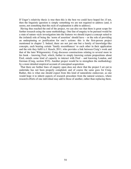If Unger's relativity thesis is true then this is the best we could have hoped for; if not, then the linguistic question is simply something we are not required to address (and, it seems, not something that this style of explanation is able to address).

 Having thus reached the end of the project, we can also see that there is great scope for further research using the same methodology. One line of enquiry to be pursued would be a state of nature–style investigation into the features we should expect a concept suited to the (related) role of being the 'norm of assertion' should have – or the role of providing an underpinning or justification for one's actions: this is the first-person project mentioned in chapter 2. Indeed, there are not just one but a family of knowledge-like concepts, each bearing certain 'family resemblances' to each other in their application and the role they fulfil (c.f. Kusch, 2011, who provides a link between Craig's work and that of the later Wittgenstein). Craig discusses constructions relating to several more in his book – knowing Fred, which, further to simply knowing certain propositions about Fred, entails some kind of capacity to interact with Fred – and knowing London, and German (Craig, section XVI). Another project would be to strengthen the methodology by a more detailed empirical account of conceptual acquisition.

 That there are further lines of enquiry open does not show that the project I set out to undertake has not been properly completed, and of course the same goes for Craig. Rather, this is what one should expect from this kind of naturalistic endeavour, as one would hope it to inherit aspects of research procedure from the natural sciences, where research efforts of one individual may add to those of another, rather than replacing them.